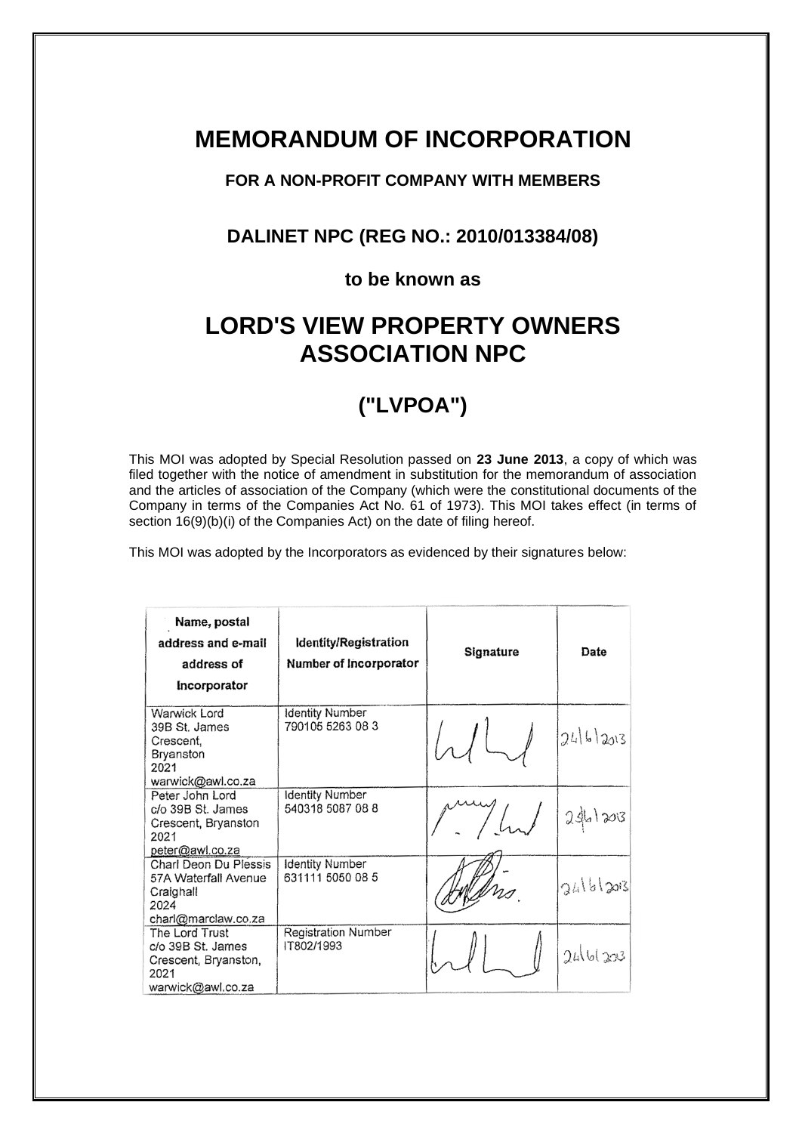# **MEMORANDUM OF INCORPORATION**

# **FOR A NON-PROFIT COMPANY WITH MEMBERS**

# **DALINET NPC (REG NO.: 2010/013384/08)**

# **to be known as**

# **LORD'S VIEW PROPERTY OWNERS ASSOCIATION NPC**

# **("LVPOA")**

This MOI was adopted by Special Resolution passed on **23 June 2013**, a copy of which was filed together with the notice of amendment in substitution for the memorandum of association and the articles of association of the Company (which were the constitutional documents of the Company in terms of the Companies Act No. 61 of 1973). This MOI takes effect (in terms of section 16(9)(b)(i) of the Companies Act) on the date of filing hereof.

This MOI was adopted by the Incorporators as evidenced by their signatures below:

| Name, postal<br>address and e-mail<br>address of<br>Incorporator                          | Identity/Registration<br>Number of Incorporator | Signature | Date     |
|-------------------------------------------------------------------------------------------|-------------------------------------------------|-----------|----------|
| Warwick Lord<br>39B St. James<br>Crescent,<br>Bryanston<br>2021<br>warwick@awl.co.za      | Identity Number<br>790105 5263 08 3             |           | 246203   |
| Peter John Lord<br>c/o 39B St. James<br>Crescent, Bryanston<br>2021<br>peter@awl.co.za    | <b>Identity Number</b><br>540318 5087 08 8      |           | 24.1203  |
| Charl Deon Du Plessis<br>57A Waterfall Avenue<br>Craighall<br>2024<br>charl@marclaw.co.za | <b>Identity Number</b><br>631111 5050 08 5      |           | 24161203 |
| The Lord Trust<br>c/o 39B St. James<br>Crescent, Bryanston,<br>2021<br>warwick@awl.co.za  | Registration Number<br>IT802/1993               |           | 2461203  |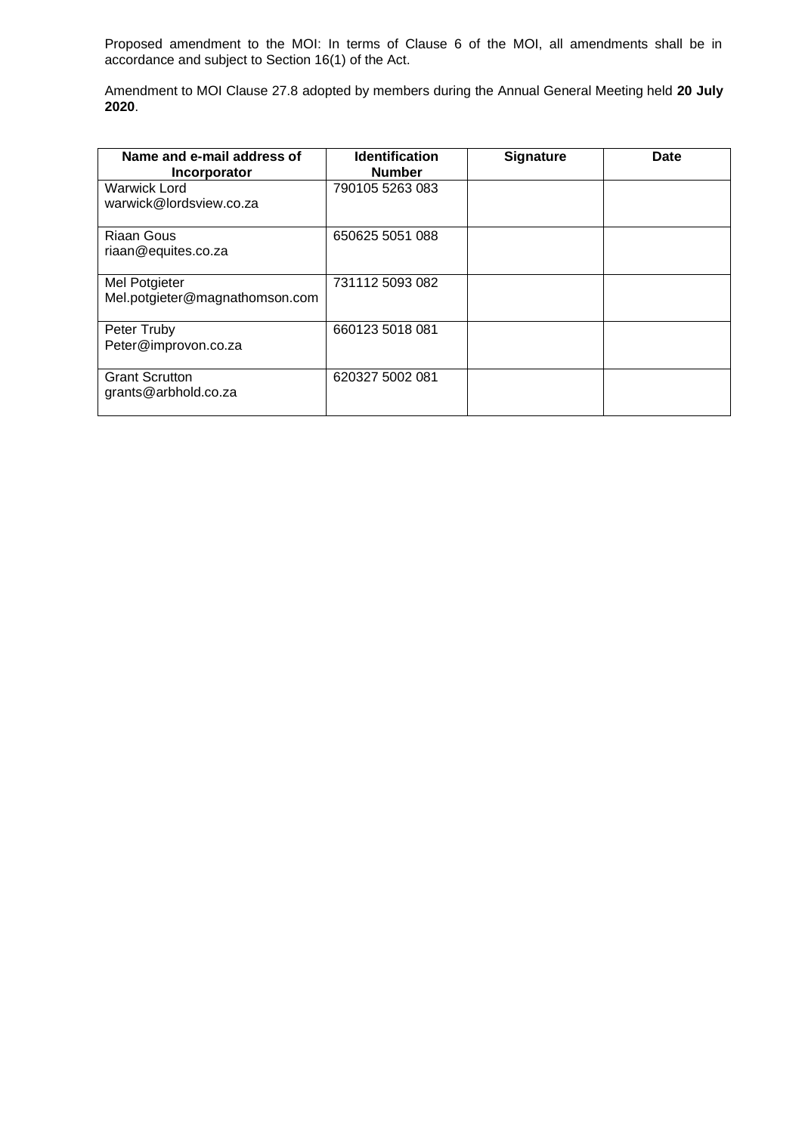Proposed amendment to the MOI: In terms of Clause 6 of the MOI, all amendments shall be in accordance and subject to Section 16(1) of the Act.

Amendment to MOI Clause 27.8 adopted by members during the Annual General Meeting held **20 July 2020**.

| Name and e-mail address of<br>Incorporator      | <b>Identification</b><br><b>Number</b> | <b>Signature</b> | <b>Date</b> |
|-------------------------------------------------|----------------------------------------|------------------|-------------|
| <b>Warwick Lord</b><br>warwick@lordsview.co.za  | 790105 5263 083                        |                  |             |
| <b>Riaan Gous</b><br>riaan@equites.co.za        | 650625 5051 088                        |                  |             |
| Mel Potgieter<br>Mel.potgieter@magnathomson.com | 731112 5093 082                        |                  |             |
| Peter Truby<br>Peter@improvon.co.za             | 660123 5018 081                        |                  |             |
| <b>Grant Scrutton</b><br>grants@arbhold.co.za   | 620327 5002 081                        |                  |             |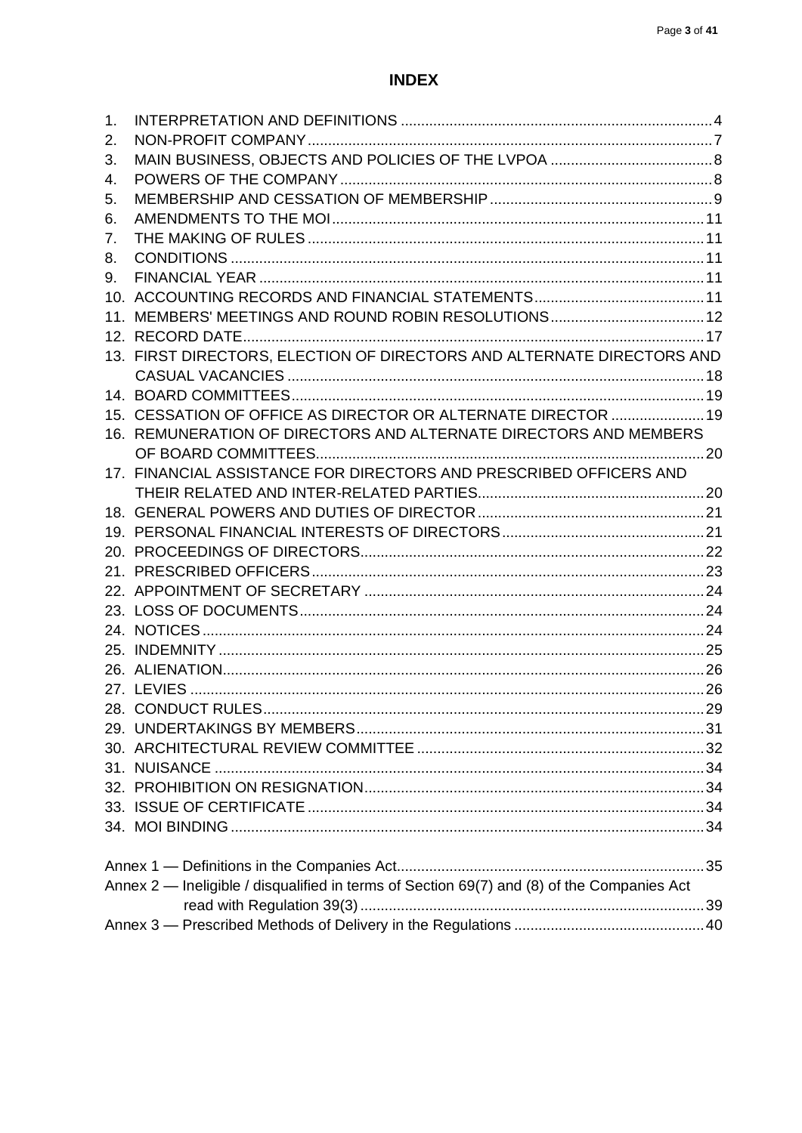# **INDEX**

| 1. |                                                                                            |  |
|----|--------------------------------------------------------------------------------------------|--|
| 2. |                                                                                            |  |
| 3. |                                                                                            |  |
| 4. |                                                                                            |  |
| 5. |                                                                                            |  |
| 6. |                                                                                            |  |
| 7. |                                                                                            |  |
| 8. |                                                                                            |  |
| 9. |                                                                                            |  |
|    |                                                                                            |  |
|    |                                                                                            |  |
|    |                                                                                            |  |
|    | 13. FIRST DIRECTORS, ELECTION OF DIRECTORS AND ALTERNATE DIRECTORS AND                     |  |
|    |                                                                                            |  |
|    |                                                                                            |  |
|    | 15. CESSATION OF OFFICE AS DIRECTOR OR ALTERNATE DIRECTOR  19                              |  |
|    | 16. REMUNERATION OF DIRECTORS AND ALTERNATE DIRECTORS AND MEMBERS                          |  |
|    |                                                                                            |  |
|    | 17. FINANCIAL ASSISTANCE FOR DIRECTORS AND PRESCRIBED OFFICERS AND                         |  |
|    |                                                                                            |  |
|    |                                                                                            |  |
|    |                                                                                            |  |
|    |                                                                                            |  |
|    |                                                                                            |  |
|    |                                                                                            |  |
|    |                                                                                            |  |
|    |                                                                                            |  |
|    |                                                                                            |  |
|    |                                                                                            |  |
|    |                                                                                            |  |
|    | 28. CONDUCT RULES<br>. 29                                                                  |  |
|    |                                                                                            |  |
|    |                                                                                            |  |
|    |                                                                                            |  |
|    |                                                                                            |  |
|    |                                                                                            |  |
|    |                                                                                            |  |
|    |                                                                                            |  |
|    | Annex 2 — Ineligible / disqualified in terms of Section 69(7) and (8) of the Companies Act |  |
|    |                                                                                            |  |
|    |                                                                                            |  |
|    |                                                                                            |  |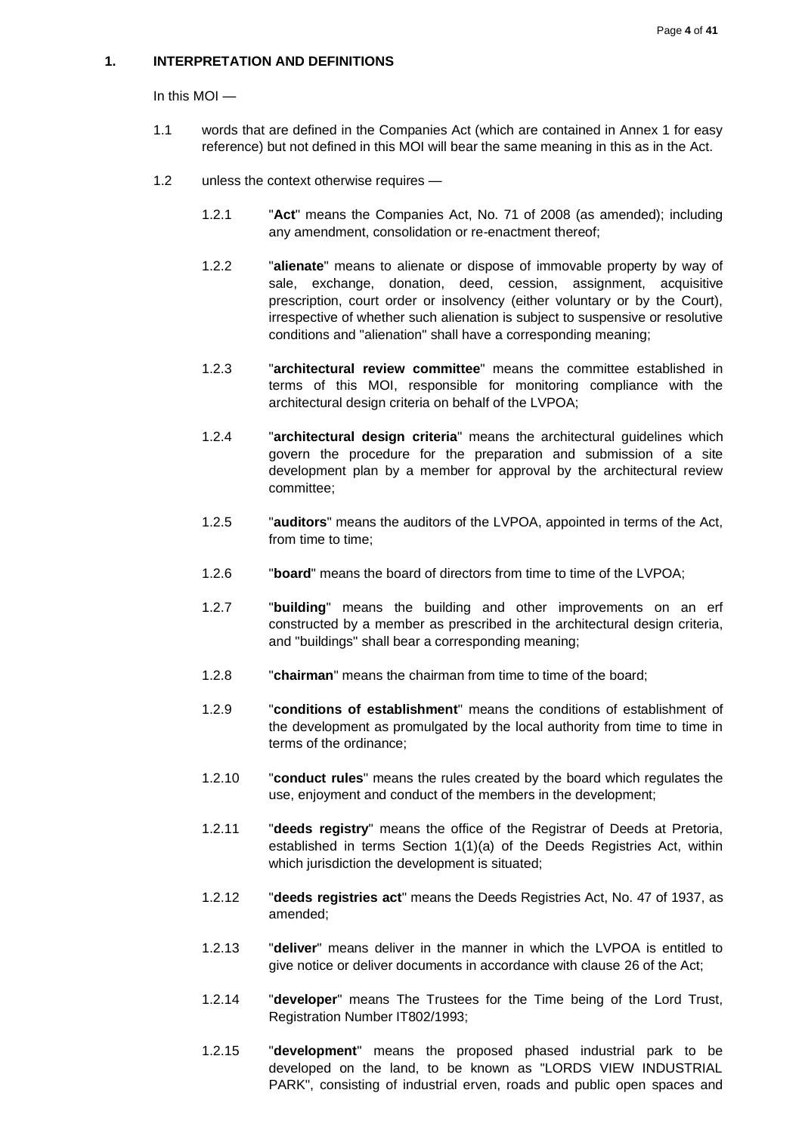# <span id="page-3-0"></span>**1. INTERPRETATION AND DEFINITIONS**

In this MOI —

- 1.1 words that are defined in the Companies Act (which are contained in Annex 1 for easy reference) but not defined in this MOI will bear the same meaning in this as in the Act.
- 1.2 unless the context otherwise requires
	- 1.2.1 "**Act**" means the Companies Act, No. 71 of 2008 (as amended); including any amendment, consolidation or re-enactment thereof;
	- 1.2.2 "**alienate**" means to alienate or dispose of immovable property by way of sale, exchange, donation, deed, cession, assignment, acquisitive prescription, court order or insolvency (either voluntary or by the Court), irrespective of whether such alienation is subject to suspensive or resolutive conditions and "alienation" shall have a corresponding meaning;
	- 1.2.3 "**architectural review committee**" means the committee established in terms of this MOI, responsible for monitoring compliance with the architectural design criteria on behalf of the LVPOA;
	- 1.2.4 "**architectural design criteria**" means the architectural guidelines which govern the procedure for the preparation and submission of a site development plan by a member for approval by the architectural review committee;
	- 1.2.5 "**auditors**" means the auditors of the LVPOA, appointed in terms of the Act, from time to time;
	- 1.2.6 "**board**" means the board of directors from time to time of the LVPOA;
	- 1.2.7 "**building**" means the building and other improvements on an erf constructed by a member as prescribed in the architectural design criteria, and "buildings" shall bear a corresponding meaning;
	- 1.2.8 "**chairman**" means the chairman from time to time of the board;
	- 1.2.9 "**conditions of establishment**" means the conditions of establishment of the development as promulgated by the local authority from time to time in terms of the ordinance;
	- 1.2.10 "**conduct rules**" means the rules created by the board which regulates the use, enjoyment and conduct of the members in the development;
	- 1.2.11 "**deeds registry**" means the office of the Registrar of Deeds at Pretoria, established in terms Section 1(1)(a) of the Deeds Registries Act, within which jurisdiction the development is situated;
	- 1.2.12 "**deeds registries act**" means the Deeds Registries Act, No. 47 of 1937, as amended;
	- 1.2.13 "**deliver**" means deliver in the manner in which the LVPOA is entitled to give notice or deliver documents in accordance with clause 26 of the Act;
	- 1.2.14 "**developer**" means The Trustees for the Time being of the Lord Trust, Registration Number IT802/1993;
	- 1.2.15 "**development**" means the proposed phased industrial park to be developed on the land, to be known as "LORDS VIEW INDUSTRIAL PARK", consisting of industrial erven, roads and public open spaces and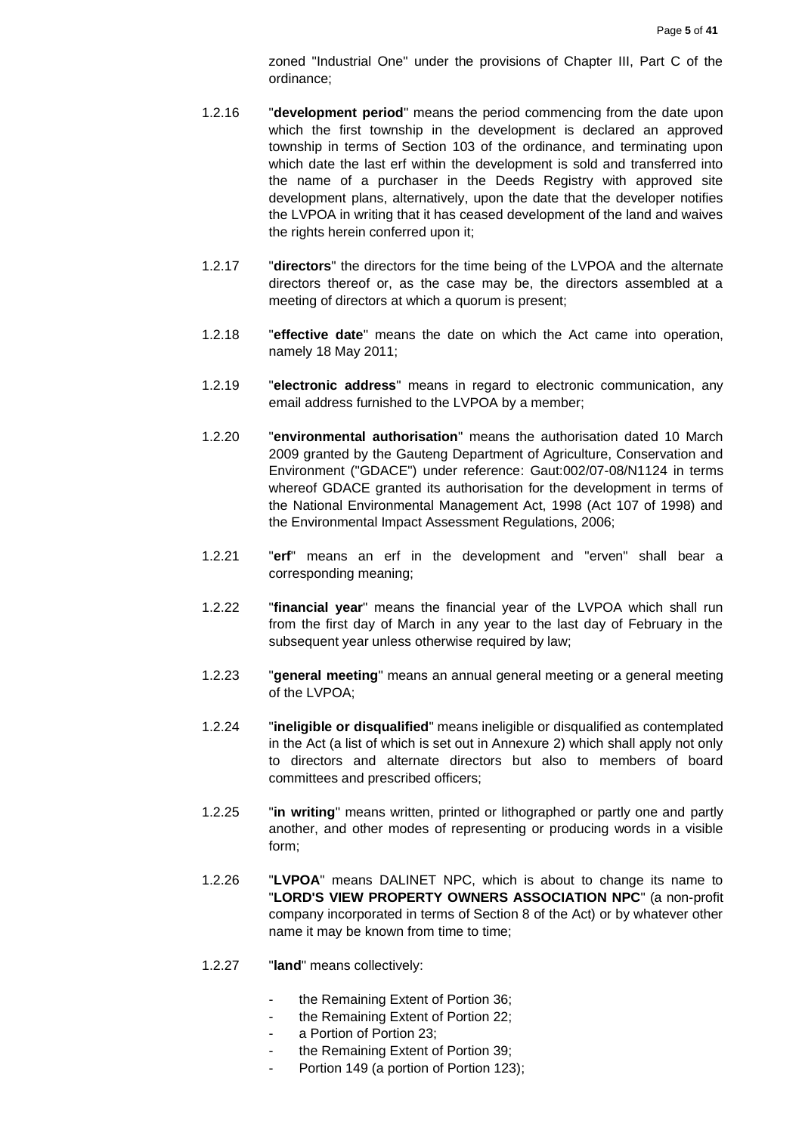zoned "Industrial One" under the provisions of Chapter III, Part C of the ordinance;

- 1.2.16 "**development period**" means the period commencing from the date upon which the first township in the development is declared an approved township in terms of Section 103 of the ordinance, and terminating upon which date the last erf within the development is sold and transferred into the name of a purchaser in the Deeds Registry with approved site development plans, alternatively, upon the date that the developer notifies the LVPOA in writing that it has ceased development of the land and waives the rights herein conferred upon it;
- 1.2.17 "**directors**" the directors for the time being of the LVPOA and the alternate directors thereof or, as the case may be, the directors assembled at a meeting of directors at which a quorum is present;
- 1.2.18 "**effective date**" means the date on which the Act came into operation, namely 18 May 2011;
- 1.2.19 "**electronic address**" means in regard to electronic communication, any email address furnished to the LVPOA by a member;
- 1.2.20 "**environmental authorisation**" means the authorisation dated 10 March 2009 granted by the Gauteng Department of Agriculture, Conservation and Environment ("GDACE") under reference: Gaut:002/07-08/N1124 in terms whereof GDACE granted its authorisation for the development in terms of the National Environmental Management Act, 1998 (Act 107 of 1998) and the Environmental Impact Assessment Regulations, 2006;
- 1.2.21 "**erf**" means an erf in the development and "erven" shall bear a corresponding meaning;
- 1.2.22 "**financial year**" means the financial year of the LVPOA which shall run from the first day of March in any year to the last day of February in the subsequent year unless otherwise required by law;
- 1.2.23 "**general meeting**" means an annual general meeting or a general meeting of the LVPOA;
- 1.2.24 "**ineligible or disqualified**" means ineligible or disqualified as contemplated in the Act (a list of which is set out in Annexure 2) which shall apply not only to directors and alternate directors but also to members of board committees and prescribed officers;
- 1.2.25 "**in writing**" means written, printed or lithographed or partly one and partly another, and other modes of representing or producing words in a visible form;
- 1.2.26 "**LVPOA**" means DALINET NPC, which is about to change its name to "**LORD'S VIEW PROPERTY OWNERS ASSOCIATION NPC**" (a non-profit company incorporated in terms of Section 8 of the Act) or by whatever other name it may be known from time to time;
- 1.2.27 "**land**" means collectively:
	- the Remaining Extent of Portion 36;
	- the Remaining Extent of Portion 22;
	- a Portion of Portion 23;
	- the Remaining Extent of Portion 39;
	- Portion 149 (a portion of Portion 123);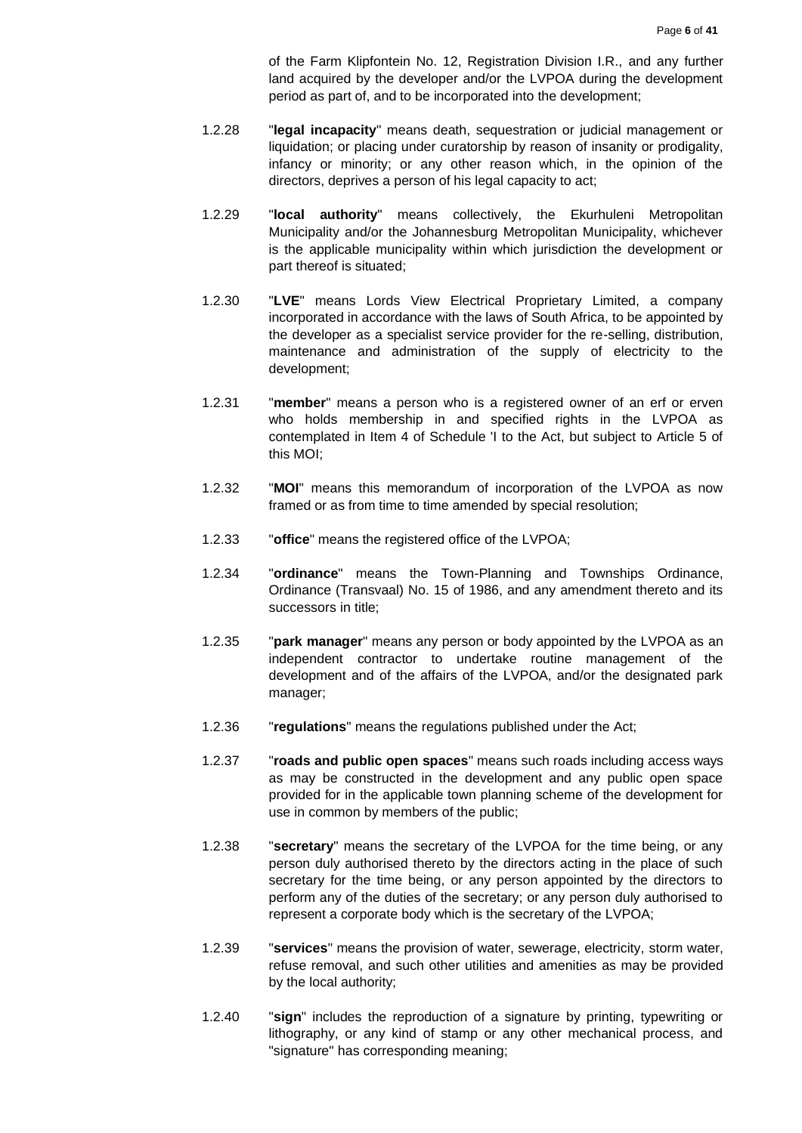of the Farm Klipfontein No. 12, Registration Division I.R., and any further land acquired by the developer and/or the LVPOA during the development period as part of, and to be incorporated into the development;

- 1.2.28 "**legal incapacity**" means death, sequestration or judicial management or liquidation; or placing under curatorship by reason of insanity or prodigality, infancy or minority; or any other reason which, in the opinion of the directors, deprives a person of his legal capacity to act;
- 1.2.29 "**local authority**" means collectively, the Ekurhuleni Metropolitan Municipality and/or the Johannesburg Metropolitan Municipality, whichever is the applicable municipality within which jurisdiction the development or part thereof is situated;
- 1.2.30 "**LVE**" means Lords View Electrical Proprietary Limited, a company incorporated in accordance with the laws of South Africa, to be appointed by the developer as a specialist service provider for the re-selling, distribution, maintenance and administration of the supply of electricity to the development;
- 1.2.31 "**member**" means a person who is a registered owner of an erf or erven who holds membership in and specified rights in the LVPOA as contemplated in Item 4 of Schedule 'I to the Act, but subject to Article 5 of this MOI;
- 1.2.32 "**MOI**" means this memorandum of incorporation of the LVPOA as now framed or as from time to time amended by special resolution;
- 1.2.33 "**office**" means the registered office of the LVPOA;
- 1.2.34 "**ordinance**" means the Town-Planning and Townships Ordinance, Ordinance (Transvaal) No. 15 of 1986, and any amendment thereto and its successors in title;
- 1.2.35 "**park manager**" means any person or body appointed by the LVPOA as an independent contractor to undertake routine management of the development and of the affairs of the LVPOA, and/or the designated park manager;
- 1.2.36 "**regulations**" means the regulations published under the Act;
- 1.2.37 "**roads and public open spaces**" means such roads including access ways as may be constructed in the development and any public open space provided for in the applicable town planning scheme of the development for use in common by members of the public;
- 1.2.38 "**secretary**" means the secretary of the LVPOA for the time being, or any person duly authorised thereto by the directors acting in the place of such secretary for the time being, or any person appointed by the directors to perform any of the duties of the secretary; or any person duly authorised to represent a corporate body which is the secretary of the LVPOA;
- 1.2.39 "**services**" means the provision of water, sewerage, electricity, storm water, refuse removal, and such other utilities and amenities as may be provided by the local authority;
- 1.2.40 "**sign**" includes the reproduction of a signature by printing, typewriting or lithography, or any kind of stamp or any other mechanical process, and "signature" has corresponding meaning;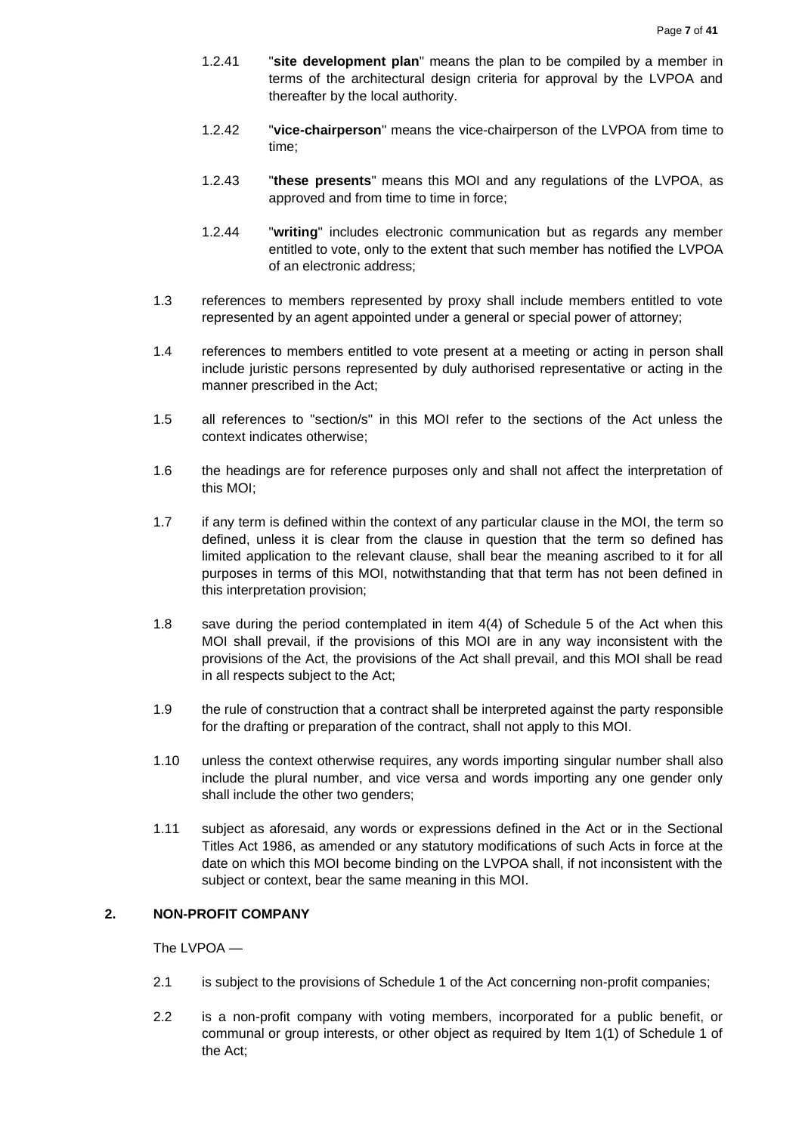- 1.2.41 "**site development plan**" means the plan to be compiled by a member in terms of the architectural design criteria for approval by the LVPOA and thereafter by the local authority.
- 1.2.42 "**vice-chairperson**" means the vice-chairperson of the LVPOA from time to time;
- 1.2.43 "**these presents**" means this MOI and any regulations of the LVPOA, as approved and from time to time in force;
- 1.2.44 "**writing**" includes electronic communication but as regards any member entitled to vote, only to the extent that such member has notified the LVPOA of an electronic address;
- 1.3 references to members represented by proxy shall include members entitled to vote represented by an agent appointed under a general or special power of attorney;
- 1.4 references to members entitled to vote present at a meeting or acting in person shall include juristic persons represented by duly authorised representative or acting in the manner prescribed in the Act;
- 1.5 all references to "section/s" in this MOI refer to the sections of the Act unless the context indicates otherwise;
- 1.6 the headings are for reference purposes only and shall not affect the interpretation of this MOI;
- 1.7 if any term is defined within the context of any particular clause in the MOI, the term so defined, unless it is clear from the clause in question that the term so defined has limited application to the relevant clause, shall bear the meaning ascribed to it for all purposes in terms of this MOI, notwithstanding that that term has not been defined in this interpretation provision;
- 1.8 save during the period contemplated in item 4(4) of Schedule 5 of the Act when this MOI shall prevail, if the provisions of this MOI are in any way inconsistent with the provisions of the Act, the provisions of the Act shall prevail, and this MOI shall be read in all respects subject to the Act;
- 1.9 the rule of construction that a contract shall be interpreted against the party responsible for the drafting or preparation of the contract, shall not apply to this MOI.
- 1.10 unless the context otherwise requires, any words importing singular number shall also include the plural number, and vice versa and words importing any one gender only shall include the other two genders;
- 1.11 subject as aforesaid, any words or expressions defined in the Act or in the Sectional Titles Act 1986, as amended or any statutory modifications of such Acts in force at the date on which this MOI become binding on the LVPOA shall, if not inconsistent with the subject or context, bear the same meaning in this MOI.

# <span id="page-6-0"></span>**2. NON-PROFIT COMPANY**

The LVPOA —

- 2.1 is subject to the provisions of Schedule 1 of the Act concerning non-profit companies;
- 2.2 is a non-profit company with voting members, incorporated for a public benefit, or communal or group interests, or other object as required by Item 1(1) of Schedule 1 of the Act;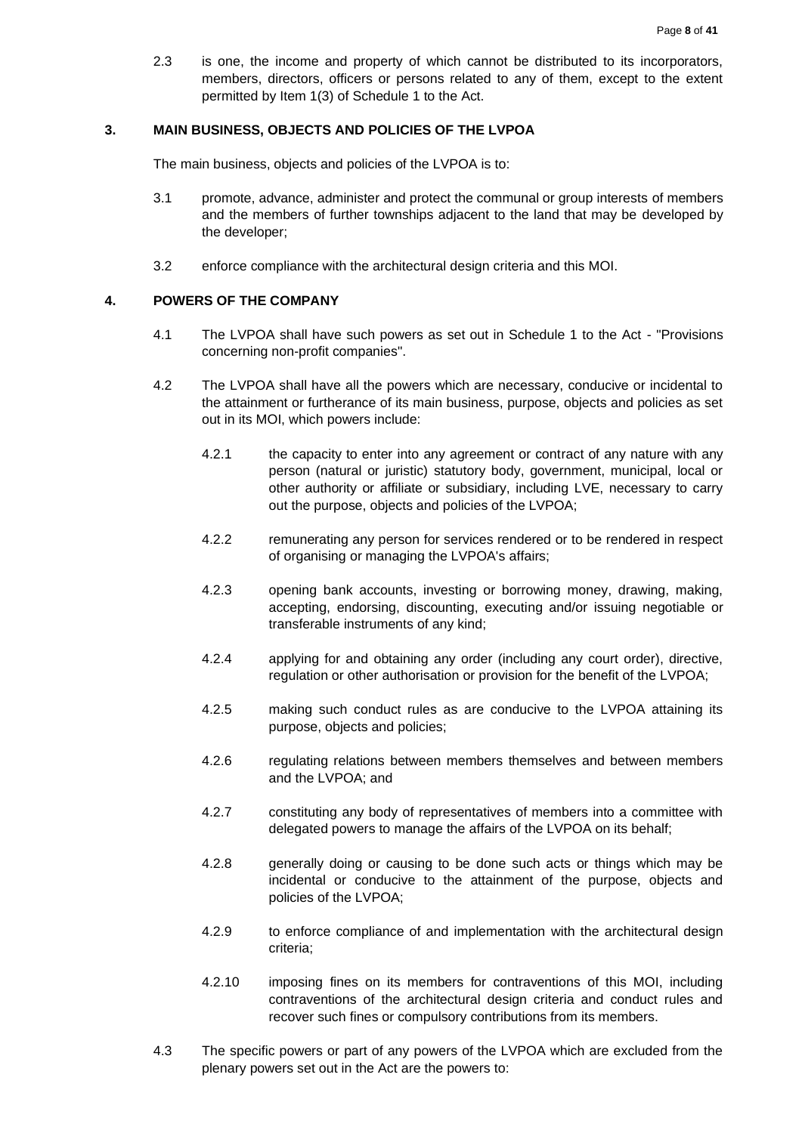2.3 is one, the income and property of which cannot be distributed to its incorporators, members, directors, officers or persons related to any of them, except to the extent permitted by Item 1(3) of Schedule 1 to the Act.

#### <span id="page-7-0"></span>**3. MAIN BUSINESS, OBJECTS AND POLICIES OF THE LVPOA**

The main business, objects and policies of the LVPOA is to:

- 3.1 promote, advance, administer and protect the communal or group interests of members and the members of further townships adjacent to the land that may be developed by the developer;
- 3.2 enforce compliance with the architectural design criteria and this MOI.

### <span id="page-7-1"></span>**4. POWERS OF THE COMPANY**

- 4.1 The LVPOA shall have such powers as set out in Schedule 1 to the Act "Provisions concerning non-profit companies".
- 4.2 The LVPOA shall have all the powers which are necessary, conducive or incidental to the attainment or furtherance of its main business, purpose, objects and policies as set out in its MOI, which powers include:
	- 4.2.1 the capacity to enter into any agreement or contract of any nature with any person (natural or juristic) statutory body, government, municipal, local or other authority or affiliate or subsidiary, including LVE, necessary to carry out the purpose, objects and policies of the LVPOA;
	- 4.2.2 remunerating any person for services rendered or to be rendered in respect of organising or managing the LVPOA's affairs;
	- 4.2.3 opening bank accounts, investing or borrowing money, drawing, making, accepting, endorsing, discounting, executing and/or issuing negotiable or transferable instruments of any kind;
	- 4.2.4 applying for and obtaining any order (including any court order), directive, regulation or other authorisation or provision for the benefit of the LVPOA;
	- 4.2.5 making such conduct rules as are conducive to the LVPOA attaining its purpose, objects and policies;
	- 4.2.6 regulating relations between members themselves and between members and the LVPOA; and
	- 4.2.7 constituting any body of representatives of members into a committee with delegated powers to manage the affairs of the LVPOA on its behalf;
	- 4.2.8 generally doing or causing to be done such acts or things which may be incidental or conducive to the attainment of the purpose, objects and policies of the LVPOA;
	- 4.2.9 to enforce compliance of and implementation with the architectural design criteria;
	- 4.2.10 imposing fines on its members for contraventions of this MOI, including contraventions of the architectural design criteria and conduct rules and recover such fines or compulsory contributions from its members.
- 4.3 The specific powers or part of any powers of the LVPOA which are excluded from the plenary powers set out in the Act are the powers to: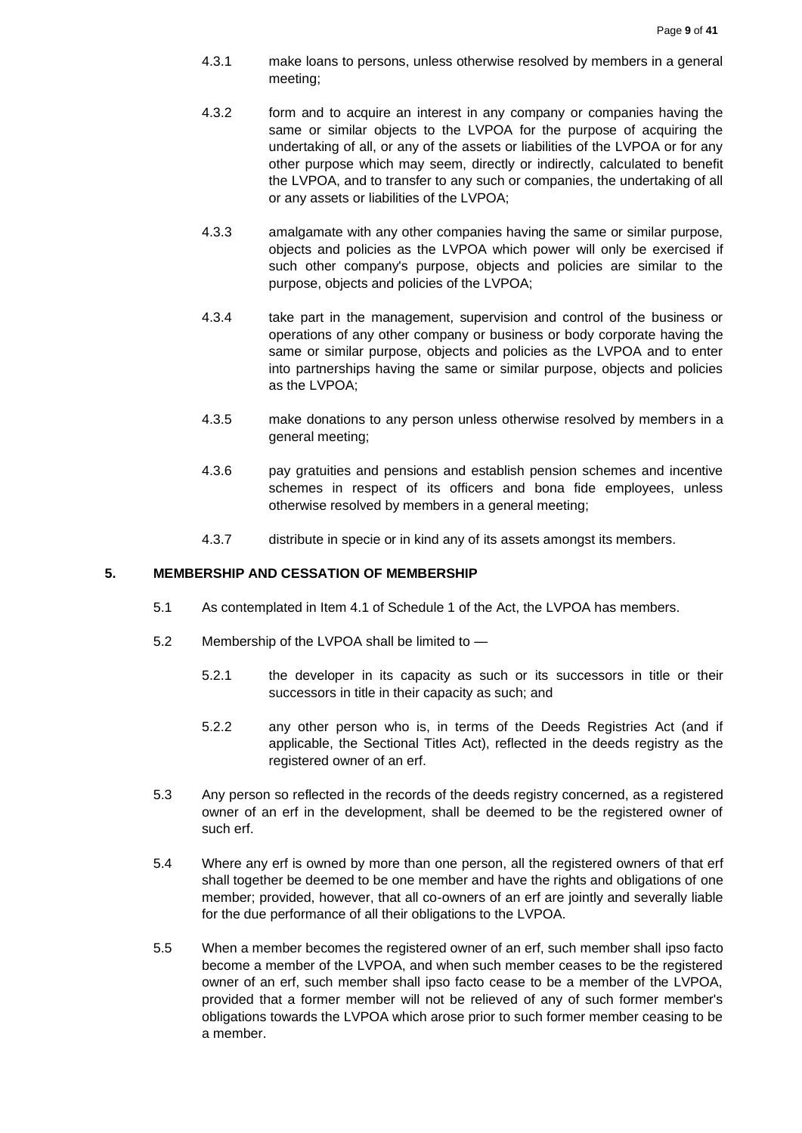- 4.3.1 make loans to persons, unless otherwise resolved by members in a general meeting;
- 4.3.2 form and to acquire an interest in any company or companies having the same or similar objects to the LVPOA for the purpose of acquiring the undertaking of all, or any of the assets or liabilities of the LVPOA or for any other purpose which may seem, directly or indirectly, calculated to benefit the LVPOA, and to transfer to any such or companies, the undertaking of all or any assets or liabilities of the LVPOA;
- 4.3.3 amalgamate with any other companies having the same or similar purpose, objects and policies as the LVPOA which power will only be exercised if such other company's purpose, objects and policies are similar to the purpose, objects and policies of the LVPOA;
- 4.3.4 take part in the management, supervision and control of the business or operations of any other company or business or body corporate having the same or similar purpose, objects and policies as the LVPOA and to enter into partnerships having the same or similar purpose, objects and policies as the LVPOA;
- 4.3.5 make donations to any person unless otherwise resolved by members in a general meeting;
- 4.3.6 pay gratuities and pensions and establish pension schemes and incentive schemes in respect of its officers and bona fide employees, unless otherwise resolved by members in a general meeting;
- 4.3.7 distribute in specie or in kind any of its assets amongst its members.

### <span id="page-8-0"></span>**5. MEMBERSHIP AND CESSATION OF MEMBERSHIP**

- 5.1 As contemplated in Item 4.1 of Schedule 1 of the Act, the LVPOA has members.
- 5.2 Membership of the LVPOA shall be limited to
	- 5.2.1 the developer in its capacity as such or its successors in title or their successors in title in their capacity as such; and
	- 5.2.2 any other person who is, in terms of the Deeds Registries Act (and if applicable, the Sectional Titles Act), reflected in the deeds registry as the registered owner of an erf.
- 5.3 Any person so reflected in the records of the deeds registry concerned, as a registered owner of an erf in the development, shall be deemed to be the registered owner of such erf.
- 5.4 Where any erf is owned by more than one person, all the registered owners of that erf shall together be deemed to be one member and have the rights and obligations of one member; provided, however, that all co-owners of an erf are jointly and severally liable for the due performance of all their obligations to the LVPOA.
- 5.5 When a member becomes the registered owner of an erf, such member shall ipso facto become a member of the LVPOA, and when such member ceases to be the registered owner of an erf, such member shall ipso facto cease to be a member of the LVPOA, provided that a former member will not be relieved of any of such former member's obligations towards the LVPOA which arose prior to such former member ceasing to be a member.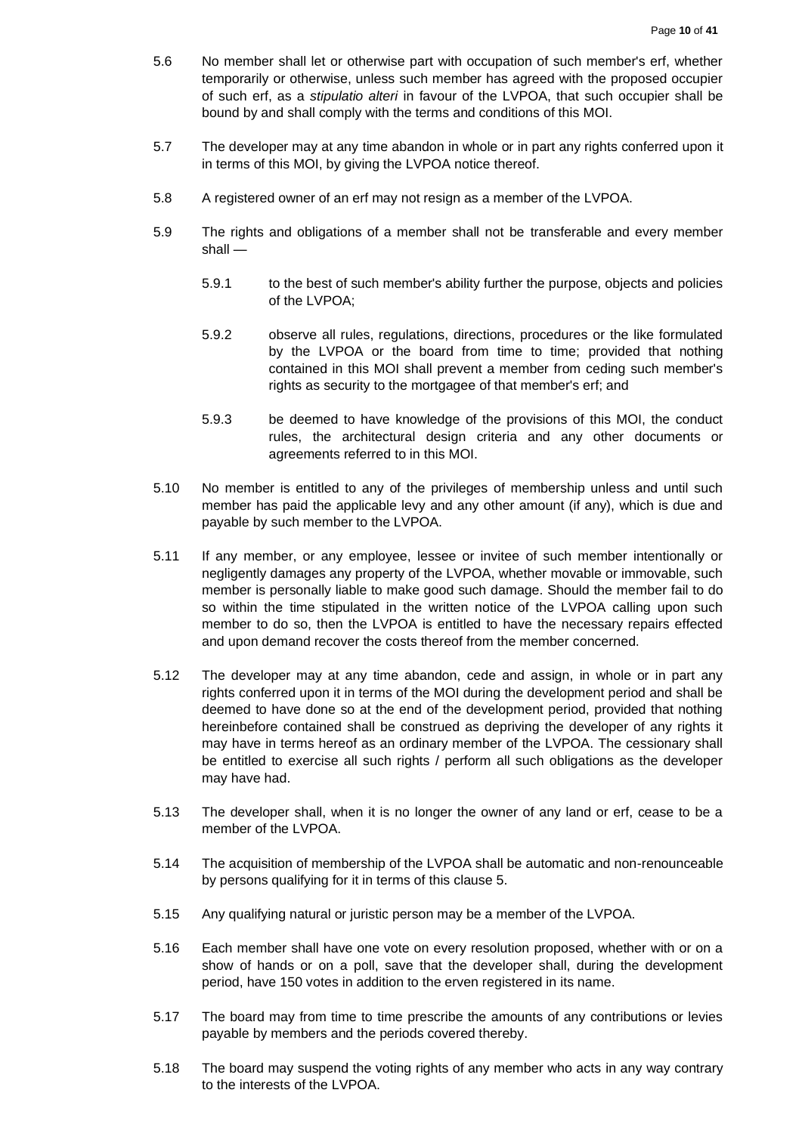- 5.6 No member shall let or otherwise part with occupation of such member's erf, whether temporarily or otherwise, unless such member has agreed with the proposed occupier of such erf, as a *stipulatio alteri* in favour of the LVPOA, that such occupier shall be bound by and shall comply with the terms and conditions of this MOI.
- 5.7 The developer may at any time abandon in whole or in part any rights conferred upon it in terms of this MOI, by giving the LVPOA notice thereof.
- 5.8 A registered owner of an erf may not resign as a member of the LVPOA.
- 5.9 The rights and obligations of a member shall not be transferable and every member shall —
	- 5.9.1 to the best of such member's ability further the purpose, objects and policies of the LVPOA;
	- 5.9.2 observe all rules, regulations, directions, procedures or the like formulated by the LVPOA or the board from time to time; provided that nothing contained in this MOI shall prevent a member from ceding such member's rights as security to the mortgagee of that member's erf; and
	- 5.9.3 be deemed to have knowledge of the provisions of this MOI, the conduct rules, the architectural design criteria and any other documents or agreements referred to in this MOI.
- 5.10 No member is entitled to any of the privileges of membership unless and until such member has paid the applicable levy and any other amount (if any), which is due and payable by such member to the LVPOA.
- 5.11 If any member, or any employee, lessee or invitee of such member intentionally or negligently damages any property of the LVPOA, whether movable or immovable, such member is personally liable to make good such damage. Should the member fail to do so within the time stipulated in the written notice of the LVPOA calling upon such member to do so, then the LVPOA is entitled to have the necessary repairs effected and upon demand recover the costs thereof from the member concerned.
- 5.12 The developer may at any time abandon, cede and assign, in whole or in part any rights conferred upon it in terms of the MOI during the development period and shall be deemed to have done so at the end of the development period, provided that nothing hereinbefore contained shall be construed as depriving the developer of any rights it may have in terms hereof as an ordinary member of the LVPOA. The cessionary shall be entitled to exercise all such rights / perform all such obligations as the developer may have had.
- 5.13 The developer shall, when it is no longer the owner of any land or erf, cease to be a member of the LVPOA.
- 5.14 The acquisition of membership of the LVPOA shall be automatic and non-renounceable by persons qualifying for it in terms of this clause 5.
- 5.15 Any qualifying natural or juristic person may be a member of the LVPOA.
- 5.16 Each member shall have one vote on every resolution proposed, whether with or on a show of hands or on a poll, save that the developer shall, during the development period, have 150 votes in addition to the erven registered in its name.
- 5.17 The board may from time to time prescribe the amounts of any contributions or levies payable by members and the periods covered thereby.
- 5.18 The board may suspend the voting rights of any member who acts in any way contrary to the interests of the LVPOA.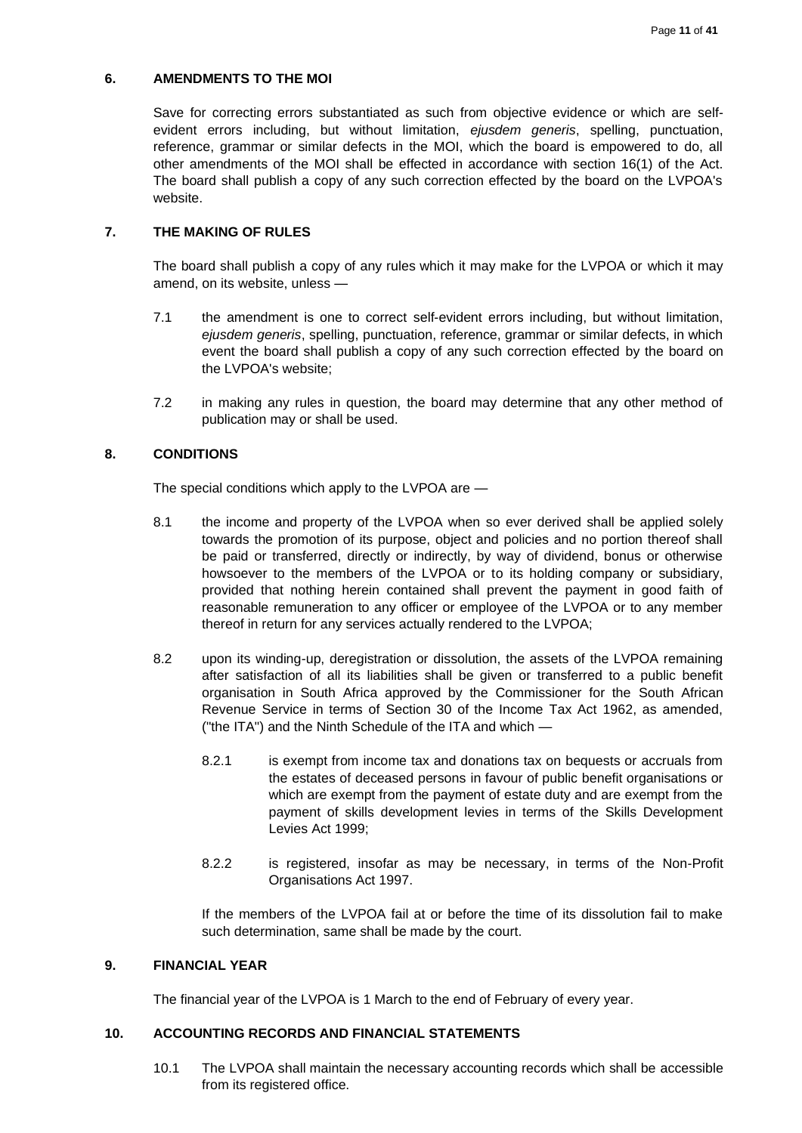# <span id="page-10-0"></span>**6. AMENDMENTS TO THE MOI**

Save for correcting errors substantiated as such from objective evidence or which are selfevident errors including, but without limitation, *ejusdem generis*, spelling, punctuation, reference, grammar or similar defects in the MOI, which the board is empowered to do, all other amendments of the MOI shall be effected in accordance with section 16(1) of the Act. The board shall publish a copy of any such correction effected by the board on the LVPOA's website.

# <span id="page-10-1"></span>**7. THE MAKING OF RULES**

The board shall publish a copy of any rules which it may make for the LVPOA or which it may amend, on its website, unless —

- 7.1 the amendment is one to correct self-evident errors including, but without limitation, *ejusdem generis*, spelling, punctuation, reference, grammar or similar defects, in which event the board shall publish a copy of any such correction effected by the board on the LVPOA's website;
- 7.2 in making any rules in question, the board may determine that any other method of publication may or shall be used.

## <span id="page-10-2"></span>**8. CONDITIONS**

The special conditions which apply to the LVPOA are —

- 8.1 the income and property of the LVPOA when so ever derived shall be applied solely towards the promotion of its purpose, object and policies and no portion thereof shall be paid or transferred, directly or indirectly, by way of dividend, bonus or otherwise howsoever to the members of the LVPOA or to its holding company or subsidiary, provided that nothing herein contained shall prevent the payment in good faith of reasonable remuneration to any officer or employee of the LVPOA or to any member thereof in return for any services actually rendered to the LVPOA;
- 8.2 upon its winding-up, deregistration or dissolution, the assets of the LVPOA remaining after satisfaction of all its liabilities shall be given or transferred to a public benefit organisation in South Africa approved by the Commissioner for the South African Revenue Service in terms of Section 30 of the Income Tax Act 1962, as amended, ("the ITA") and the Ninth Schedule of the ITA and which —
	- 8.2.1 is exempt from income tax and donations tax on bequests or accruals from the estates of deceased persons in favour of public benefit organisations or which are exempt from the payment of estate duty and are exempt from the payment of skills development levies in terms of the Skills Development Levies Act 1999;
	- 8.2.2 is registered, insofar as may be necessary, in terms of the Non-Profit Organisations Act 1997.

If the members of the LVPOA fail at or before the time of its dissolution fail to make such determination, same shall be made by the court.

# <span id="page-10-3"></span>**9. FINANCIAL YEAR**

The financial year of the LVPOA is 1 March to the end of February of every year.

# <span id="page-10-4"></span>**10. ACCOUNTING RECORDS AND FINANCIAL STATEMENTS**

10.1 The LVPOA shall maintain the necessary accounting records which shall be accessible from its registered office.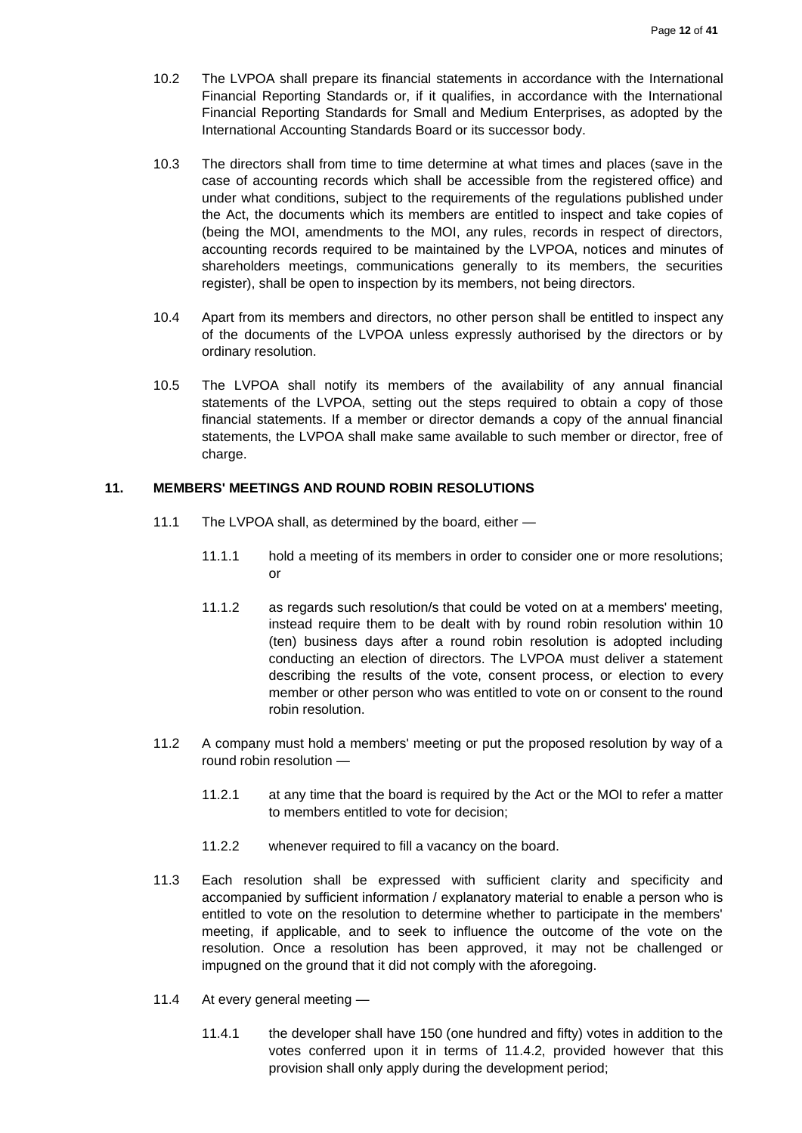- 10.2 The LVPOA shall prepare its financial statements in accordance with the International Financial Reporting Standards or, if it qualifies, in accordance with the International Financial Reporting Standards for Small and Medium Enterprises, as adopted by the International Accounting Standards Board or its successor body.
- 10.3 The directors shall from time to time determine at what times and places (save in the case of accounting records which shall be accessible from the registered office) and under what conditions, subject to the requirements of the regulations published under the Act, the documents which its members are entitled to inspect and take copies of (being the MOI, amendments to the MOI, any rules, records in respect of directors, accounting records required to be maintained by the LVPOA, notices and minutes of shareholders meetings, communications generally to its members, the securities register), shall be open to inspection by its members, not being directors.
- 10.4 Apart from its members and directors, no other person shall be entitled to inspect any of the documents of the LVPOA unless expressly authorised by the directors or by ordinary resolution.
- 10.5 The LVPOA shall notify its members of the availability of any annual financial statements of the LVPOA, setting out the steps required to obtain a copy of those financial statements. If a member or director demands a copy of the annual financial statements, the LVPOA shall make same available to such member or director, free of charge.

#### <span id="page-11-0"></span>**11. MEMBERS' MEETINGS AND ROUND ROBIN RESOLUTIONS**

- 11.1 The LVPOA shall, as determined by the board, either
	- 11.1.1 hold a meeting of its members in order to consider one or more resolutions; or
	- 11.1.2 as regards such resolution/s that could be voted on at a members' meeting, instead require them to be dealt with by round robin resolution within 10 (ten) business days after a round robin resolution is adopted including conducting an election of directors. The LVPOA must deliver a statement describing the results of the vote, consent process, or election to every member or other person who was entitled to vote on or consent to the round robin resolution.
- 11.2 A company must hold a members' meeting or put the proposed resolution by way of a round robin resolution —
	- 11.2.1 at any time that the board is required by the Act or the MOI to refer a matter to members entitled to vote for decision;
	- 11.2.2 whenever required to fill a vacancy on the board.
- 11.3 Each resolution shall be expressed with sufficient clarity and specificity and accompanied by sufficient information / explanatory material to enable a person who is entitled to vote on the resolution to determine whether to participate in the members' meeting, if applicable, and to seek to influence the outcome of the vote on the resolution. Once a resolution has been approved, it may not be challenged or impugned on the ground that it did not comply with the aforegoing.
- 11.4 At every general meeting
	- 11.4.1 the developer shall have 150 (one hundred and fifty) votes in addition to the votes conferred upon it in terms of 11.4.2, provided however that this provision shall only apply during the development period;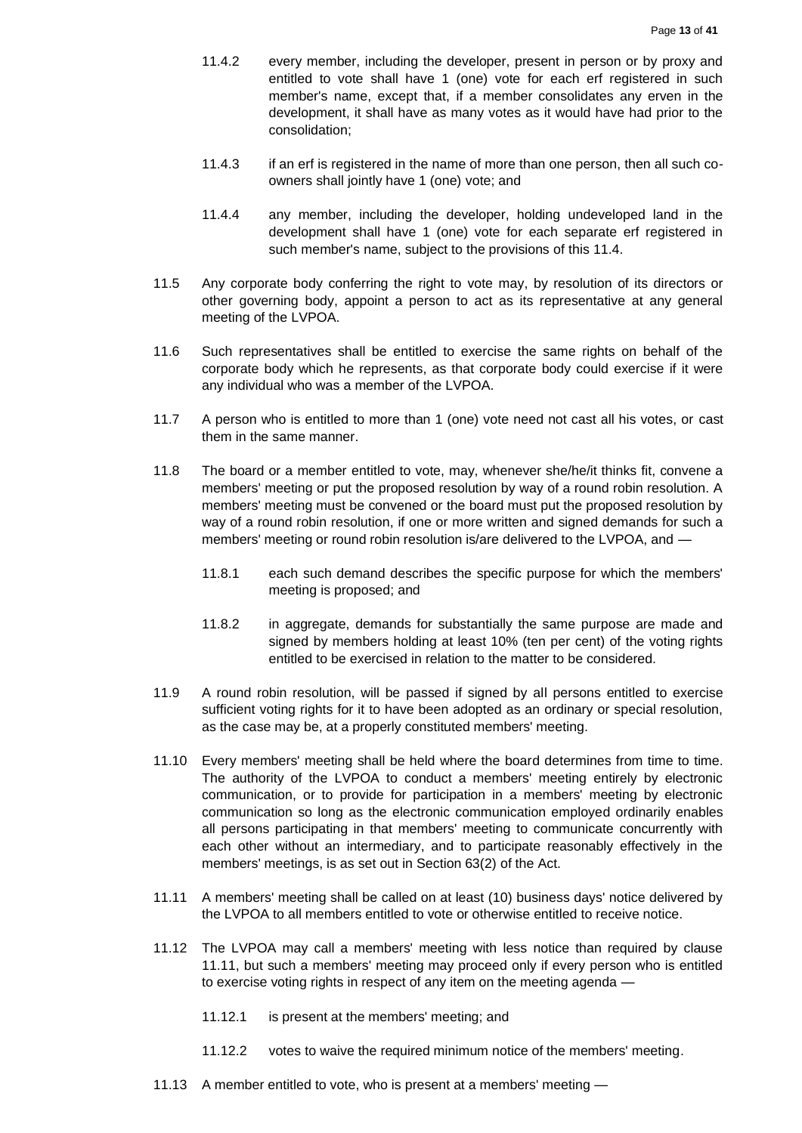- 11.4.2 every member, including the developer, present in person or by proxy and entitled to vote shall have 1 (one) vote for each erf registered in such member's name, except that, if a member consolidates any erven in the development, it shall have as many votes as it would have had prior to the consolidation;
- 11.4.3 if an erf is registered in the name of more than one person, then all such coowners shall jointly have 1 (one) vote; and
- 11.4.4 any member, including the developer, holding undeveloped land in the development shall have 1 (one) vote for each separate erf registered in such member's name, subject to the provisions of this 11.4.
- 11.5 Any corporate body conferring the right to vote may, by resolution of its directors or other governing body, appoint a person to act as its representative at any general meeting of the LVPOA.
- 11.6 Such representatives shall be entitled to exercise the same rights on behalf of the corporate body which he represents, as that corporate body could exercise if it were any individual who was a member of the LVPOA.
- 11.7 A person who is entitled to more than 1 (one) vote need not cast all his votes, or cast them in the same manner.
- 11.8 The board or a member entitled to vote, may, whenever she/he/it thinks fit, convene a members' meeting or put the proposed resolution by way of a round robin resolution. A members' meeting must be convened or the board must put the proposed resolution by way of a round robin resolution, if one or more written and signed demands for such a members' meeting or round robin resolution is/are delivered to the LVPOA, and —
	- 11.8.1 each such demand describes the specific purpose for which the members' meeting is proposed; and
	- 11.8.2 in aggregate, demands for substantially the same purpose are made and signed by members holding at least 10% (ten per cent) of the voting rights entitled to be exercised in relation to the matter to be considered.
- 11.9 A round robin resolution, will be passed if signed by all persons entitled to exercise sufficient voting rights for it to have been adopted as an ordinary or special resolution, as the case may be, at a properly constituted members' meeting.
- 11.10 Every members' meeting shall be held where the board determines from time to time. The authority of the LVPOA to conduct a members' meeting entirely by electronic communication, or to provide for participation in a members' meeting by electronic communication so long as the electronic communication employed ordinarily enables all persons participating in that members' meeting to communicate concurrently with each other without an intermediary, and to participate reasonably effectively in the members' meetings, is as set out in Section 63(2) of the Act.
- 11.11 A members' meeting shall be called on at least (10) business days' notice delivered by the LVPOA to all members entitled to vote or otherwise entitled to receive notice.
- 11.12 The LVPOA may call a members' meeting with less notice than required by clause 11.11, but such a members' meeting may proceed only if every person who is entitled to exercise voting rights in respect of any item on the meeting agenda —
	- 11.12.1 is present at the members' meeting; and
	- 11.12.2 votes to waive the required minimum notice of the members' meeting.
- 11.13 A member entitled to vote, who is present at a members' meeting —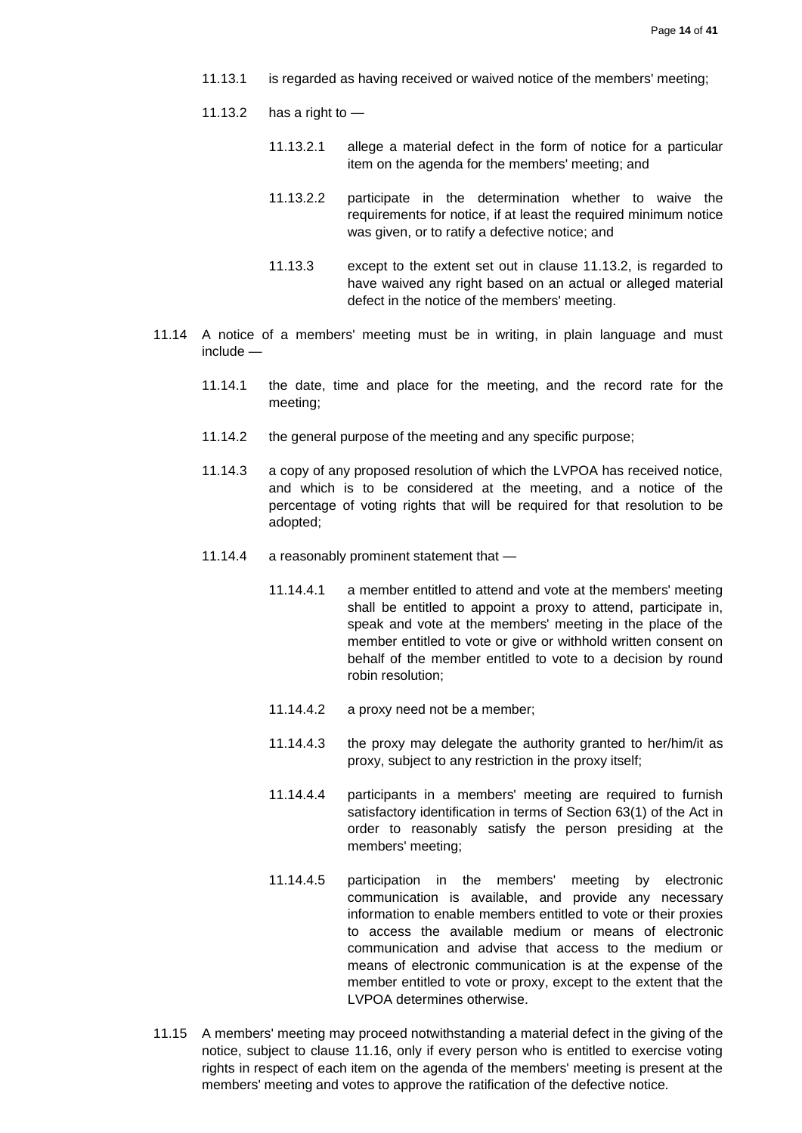- 11.13.1 is regarded as having received or waived notice of the members' meeting;
- 11.13.2 has a right to  $-$ 
	- 11.13.2.1 allege a material defect in the form of notice for a particular item on the agenda for the members' meeting; and
	- 11.13.2.2 participate in the determination whether to waive the requirements for notice, if at least the required minimum notice was given, or to ratify a defective notice; and
	- 11.13.3 except to the extent set out in clause 11.13.2, is regarded to have waived any right based on an actual or alleged material defect in the notice of the members' meeting.
- 11.14 A notice of a members' meeting must be in writing, in plain language and must include —
	- 11.14.1 the date, time and place for the meeting, and the record rate for the meeting;
	- 11.14.2 the general purpose of the meeting and any specific purpose;
	- 11.14.3 a copy of any proposed resolution of which the LVPOA has received notice, and which is to be considered at the meeting, and a notice of the percentage of voting rights that will be required for that resolution to be adopted;
	- 11.14.4 a reasonably prominent statement that
		- 11.14.4.1 a member entitled to attend and vote at the members' meeting shall be entitled to appoint a proxy to attend, participate in, speak and vote at the members' meeting in the place of the member entitled to vote or give or withhold written consent on behalf of the member entitled to vote to a decision by round robin resolution;
		- 11.14.4.2 a proxy need not be a member;
		- 11.14.4.3 the proxy may delegate the authority granted to her/him/it as proxy, subject to any restriction in the proxy itself;
		- 11.14.4.4 participants in a members' meeting are required to furnish satisfactory identification in terms of Section 63(1) of the Act in order to reasonably satisfy the person presiding at the members' meeting;
		- 11.14.4.5 participation in the members' meeting by electronic communication is available, and provide any necessary information to enable members entitled to vote or their proxies to access the available medium or means of electronic communication and advise that access to the medium or means of electronic communication is at the expense of the member entitled to vote or proxy, except to the extent that the LVPOA determines otherwise.
- 11.15 A members' meeting may proceed notwithstanding a material defect in the giving of the notice, subject to clause 11.16, only if every person who is entitled to exercise voting rights in respect of each item on the agenda of the members' meeting is present at the members' meeting and votes to approve the ratification of the defective notice.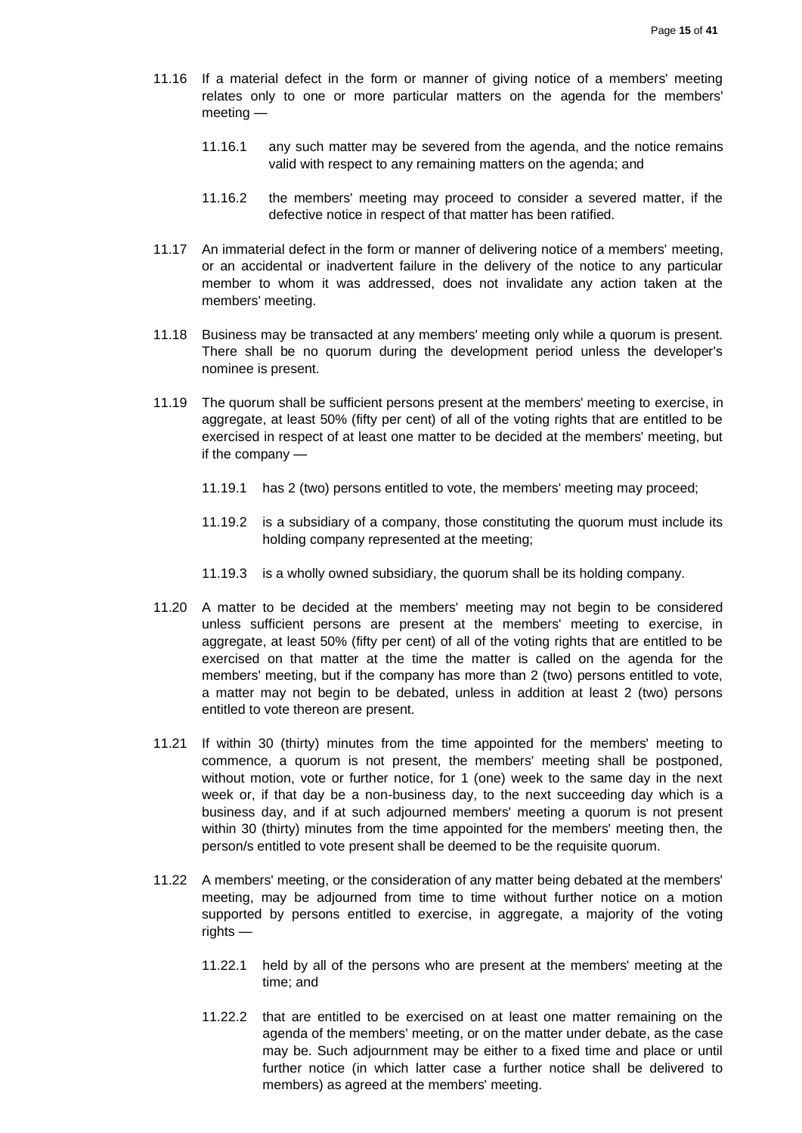- 11.16 If a material defect in the form or manner of giving notice of a members' meeting relates only to one or more particular matters on the agenda for the members' meeting —
	- 11.16.1 any such matter may be severed from the agenda, and the notice remains valid with respect to any remaining matters on the agenda; and
	- 11.16.2 the members' meeting may proceed to consider a severed matter, if the defective notice in respect of that matter has been ratified.
- 11.17 An immaterial defect in the form or manner of delivering notice of a members' meeting, or an accidental or inadvertent failure in the delivery of the notice to any particular member to whom it was addressed, does not invalidate any action taken at the members' meeting.
- 11.18 Business may be transacted at any members' meeting only while a quorum is present. There shall be no quorum during the development period unless the developer's nominee is present.
- 11.19 The quorum shall be sufficient persons present at the members' meeting to exercise, in aggregate, at least 50% (fifty per cent) of all of the voting rights that are entitled to be exercised in respect of at least one matter to be decided at the members' meeting, but if the company —
	- 11.19.1 has 2 (two) persons entitled to vote, the members' meeting may proceed;
	- 11.19.2 is a subsidiary of a company, those constituting the quorum must include its holding company represented at the meeting;
	- 11.19.3 is a wholly owned subsidiary, the quorum shall be its holding company.
- 11.20 A matter to be decided at the members' meeting may not begin to be considered unless sufficient persons are present at the members' meeting to exercise, in aggregate, at least 50% (fifty per cent) of all of the voting rights that are entitled to be exercised on that matter at the time the matter is called on the agenda for the members' meeting, but if the company has more than 2 (two) persons entitled to vote, a matter may not begin to be debated, unless in addition at least 2 (two) persons entitled to vote thereon are present.
- 11.21 If within 30 (thirty) minutes from the time appointed for the members' meeting to commence, a quorum is not present, the members' meeting shall be postponed, without motion, vote or further notice, for 1 (one) week to the same day in the next week or, if that day be a non-business day, to the next succeeding day which is a business day, and if at such adjourned members' meeting a quorum is not present within 30 (thirty) minutes from the time appointed for the members' meeting then, the person/s entitled to vote present shall be deemed to be the requisite quorum.
- 11.22 A members' meeting, or the consideration of any matter being debated at the members' meeting, may be adjourned from time to time without further notice on a motion supported by persons entitled to exercise, in aggregate, a majority of the voting rights —
	- 11.22.1 held by all of the persons who are present at the members' meeting at the time; and
	- 11.22.2 that are entitled to be exercised on at least one matter remaining on the agenda of the members' meeting, or on the matter under debate, as the case may be. Such adjournment may be either to a fixed time and place or until further notice (in which latter case a further notice shall be delivered to members) as agreed at the members' meeting.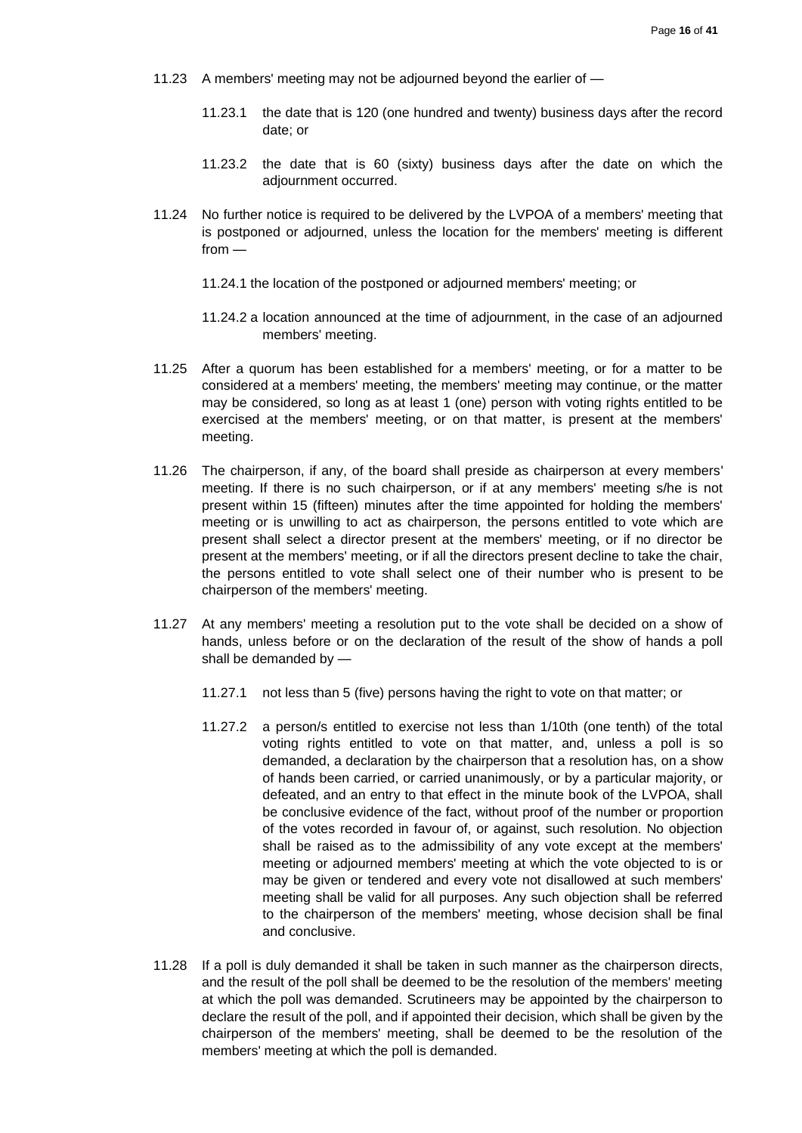- 11.23 A members' meeting may not be adjourned beyond the earlier of
	- 11.23.1 the date that is 120 (one hundred and twenty) business days after the record date; or
	- 11.23.2 the date that is 60 (sixty) business days after the date on which the adjournment occurred.
- 11.24 No further notice is required to be delivered by the LVPOA of a members' meeting that is postponed or adjourned, unless the location for the members' meeting is different from —
	- 11.24.1 the location of the postponed or adjourned members' meeting; or
	- 11.24.2 a location announced at the time of adjournment, in the case of an adjourned members' meeting.
- 11.25 After a quorum has been established for a members' meeting, or for a matter to be considered at a members' meeting, the members' meeting may continue, or the matter may be considered, so long as at least 1 (one) person with voting rights entitled to be exercised at the members' meeting, or on that matter, is present at the members' meeting.
- 11.26 The chairperson, if any, of the board shall preside as chairperson at every members' meeting. If there is no such chairperson, or if at any members' meeting s/he is not present within 15 (fifteen) minutes after the time appointed for holding the members' meeting or is unwilling to act as chairperson, the persons entitled to vote which are present shall select a director present at the members' meeting, or if no director be present at the members' meeting, or if all the directors present decline to take the chair, the persons entitled to vote shall select one of their number who is present to be chairperson of the members' meeting.
- 11.27 At any members' meeting a resolution put to the vote shall be decided on a show of hands, unless before or on the declaration of the result of the show of hands a poll shall be demanded by —
	- 11.27.1 not less than 5 (five) persons having the right to vote on that matter; or
	- 11.27.2 a person/s entitled to exercise not less than 1/10th (one tenth) of the total voting rights entitled to vote on that matter, and, unless a poll is so demanded, a declaration by the chairperson that a resolution has, on a show of hands been carried, or carried unanimously, or by a particular majority, or defeated, and an entry to that effect in the minute book of the LVPOA, shall be conclusive evidence of the fact, without proof of the number or proportion of the votes recorded in favour of, or against, such resolution. No objection shall be raised as to the admissibility of any vote except at the members' meeting or adjourned members' meeting at which the vote objected to is or may be given or tendered and every vote not disallowed at such members' meeting shall be valid for all purposes. Any such objection shall be referred to the chairperson of the members' meeting, whose decision shall be final and conclusive.
- 11.28 If a poll is duly demanded it shall be taken in such manner as the chairperson directs, and the result of the poll shall be deemed to be the resolution of the members' meeting at which the poll was demanded. Scrutineers may be appointed by the chairperson to declare the result of the poll, and if appointed their decision, which shall be given by the chairperson of the members' meeting, shall be deemed to be the resolution of the members' meeting at which the poll is demanded.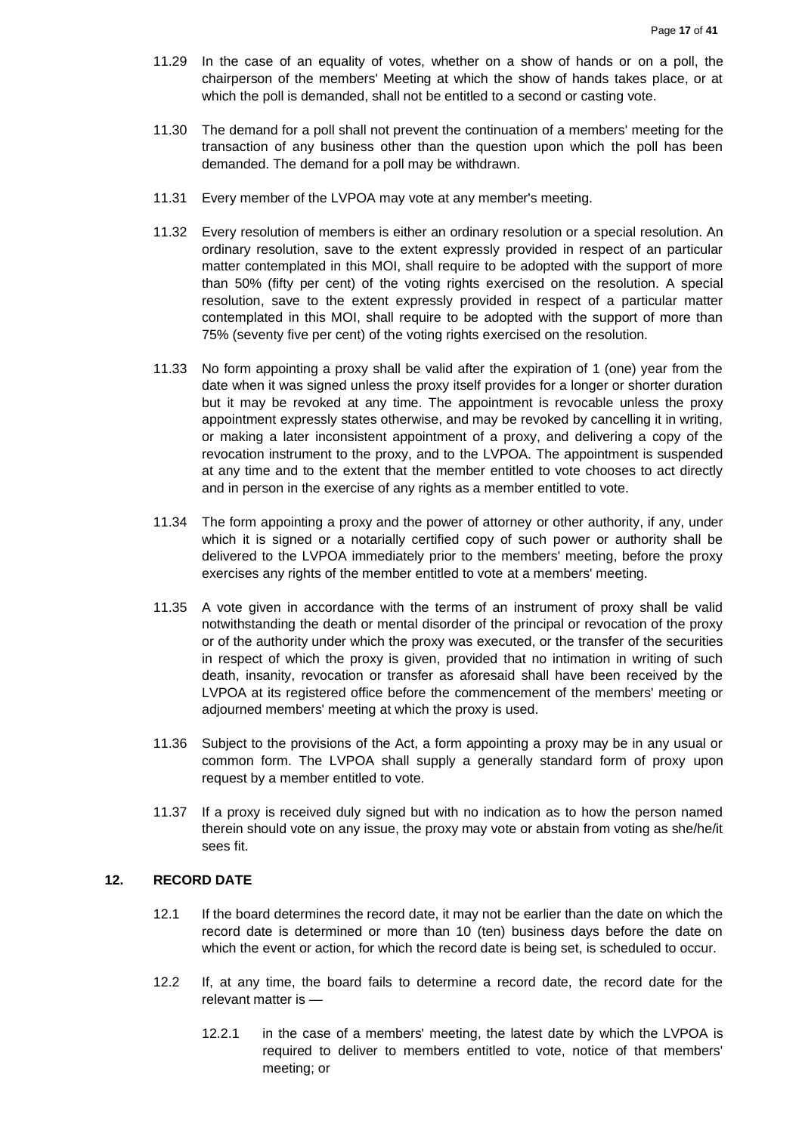- 11.29 In the case of an equality of votes, whether on a show of hands or on a poll, the chairperson of the members' Meeting at which the show of hands takes place, or at which the poll is demanded, shall not be entitled to a second or casting vote.
- 11.30 The demand for a poll shall not prevent the continuation of a members' meeting for the transaction of any business other than the question upon which the poll has been demanded. The demand for a poll may be withdrawn.
- 11.31 Every member of the LVPOA may vote at any member's meeting.
- 11.32 Every resolution of members is either an ordinary resolution or a special resolution. An ordinary resolution, save to the extent expressly provided in respect of an particular matter contemplated in this MOI, shall require to be adopted with the support of more than 50% (fifty per cent) of the voting rights exercised on the resolution. A special resolution, save to the extent expressly provided in respect of a particular matter contemplated in this MOI, shall require to be adopted with the support of more than 75% (seventy five per cent) of the voting rights exercised on the resolution.
- 11.33 No form appointing a proxy shall be valid after the expiration of 1 (one) year from the date when it was signed unless the proxy itself provides for a longer or shorter duration but it may be revoked at any time. The appointment is revocable unless the proxy appointment expressly states otherwise, and may be revoked by cancelling it in writing, or making a later inconsistent appointment of a proxy, and delivering a copy of the revocation instrument to the proxy, and to the LVPOA. The appointment is suspended at any time and to the extent that the member entitled to vote chooses to act directly and in person in the exercise of any rights as a member entitled to vote.
- 11.34 The form appointing a proxy and the power of attorney or other authority, if any, under which it is signed or a notarially certified copy of such power or authority shall be delivered to the LVPOA immediately prior to the members' meeting, before the proxy exercises any rights of the member entitled to vote at a members' meeting.
- 11.35 A vote given in accordance with the terms of an instrument of proxy shall be valid notwithstanding the death or mental disorder of the principal or revocation of the proxy or of the authority under which the proxy was executed, or the transfer of the securities in respect of which the proxy is given, provided that no intimation in writing of such death, insanity, revocation or transfer as aforesaid shall have been received by the LVPOA at its registered office before the commencement of the members' meeting or adjourned members' meeting at which the proxy is used.
- 11.36 Subject to the provisions of the Act, a form appointing a proxy may be in any usual or common form. The LVPOA shall supply a generally standard form of proxy upon request by a member entitled to vote.
- 11.37 If a proxy is received duly signed but with no indication as to how the person named therein should vote on any issue, the proxy may vote or abstain from voting as she/he/it sees fit.

#### <span id="page-16-0"></span>**12. RECORD DATE**

- 12.1 If the board determines the record date, it may not be earlier than the date on which the record date is determined or more than 10 (ten) business days before the date on which the event or action, for which the record date is being set, is scheduled to occur.
- 12.2 If, at any time, the board fails to determine a record date, the record date for the relevant matter is —
	- 12.2.1 in the case of a members' meeting, the latest date by which the LVPOA is required to deliver to members entitled to vote, notice of that members' meeting; or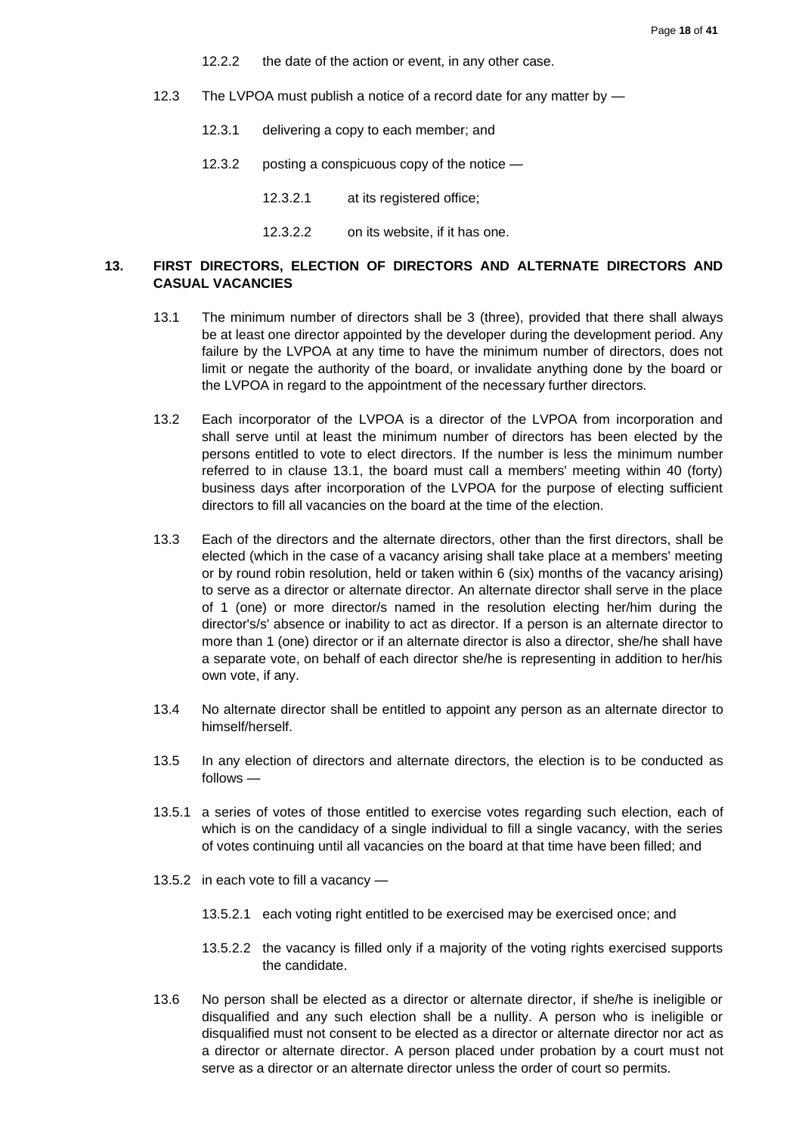- 12.2.2 the date of the action or event, in any other case.
- 12.3 The LVPOA must publish a notice of a record date for any matter by -
	- 12.3.1 delivering a copy to each member; and
	- 12.3.2 posting a conspicuous copy of the notice
		- 12.3.2.1 at its registered office;
		- 12.3.2.2 on its website, if it has one.

## <span id="page-17-0"></span>**13. FIRST DIRECTORS, ELECTION OF DIRECTORS AND ALTERNATE DIRECTORS AND CASUAL VACANCIES**

- 13.1 The minimum number of directors shall be 3 (three), provided that there shall always be at least one director appointed by the developer during the development period. Any failure by the LVPOA at any time to have the minimum number of directors, does not limit or negate the authority of the board, or invalidate anything done by the board or the LVPOA in regard to the appointment of the necessary further directors.
- 13.2 Each incorporator of the LVPOA is a director of the LVPOA from incorporation and shall serve until at least the minimum number of directors has been elected by the persons entitled to vote to elect directors. If the number is less the minimum number referred to in clause 13.1, the board must call a members' meeting within 40 (forty) business days after incorporation of the LVPOA for the purpose of electing sufficient directors to fill all vacancies on the board at the time of the election.
- 13.3 Each of the directors and the alternate directors, other than the first directors, shall be elected (which in the case of a vacancy arising shall take place at a members' meeting or by round robin resolution, held or taken within 6 (six) months of the vacancy arising) to serve as a director or alternate director. An alternate director shall serve in the place of 1 (one) or more director/s named in the resolution electing her/him during the director's/s' absence or inability to act as director. If a person is an alternate director to more than 1 (one) director or if an alternate director is also a director, she/he shall have a separate vote, on behalf of each director she/he is representing in addition to her/his own vote, if any.
- 13.4 No alternate director shall be entitled to appoint any person as an alternate director to himself/herself.
- 13.5 In any election of directors and alternate directors, the election is to be conducted as follows —
- 13.5.1 a series of votes of those entitled to exercise votes regarding such election, each of which is on the candidacy of a single individual to fill a single vacancy, with the series of votes continuing until all vacancies on the board at that time have been filled; and
- 13.5.2 in each vote to fill a vacancy
	- 13.5.2.1 each voting right entitled to be exercised may be exercised once; and
	- 13.5.2.2 the vacancy is filled only if a majority of the voting rights exercised supports the candidate.
- 13.6 No person shall be elected as a director or alternate director, if she/he is ineligible or disqualified and any such election shall be a nullity. A person who is ineligible or disqualified must not consent to be elected as a director or alternate director nor act as a director or alternate director. A person placed under probation by a court must not serve as a director or an alternate director unless the order of court so permits.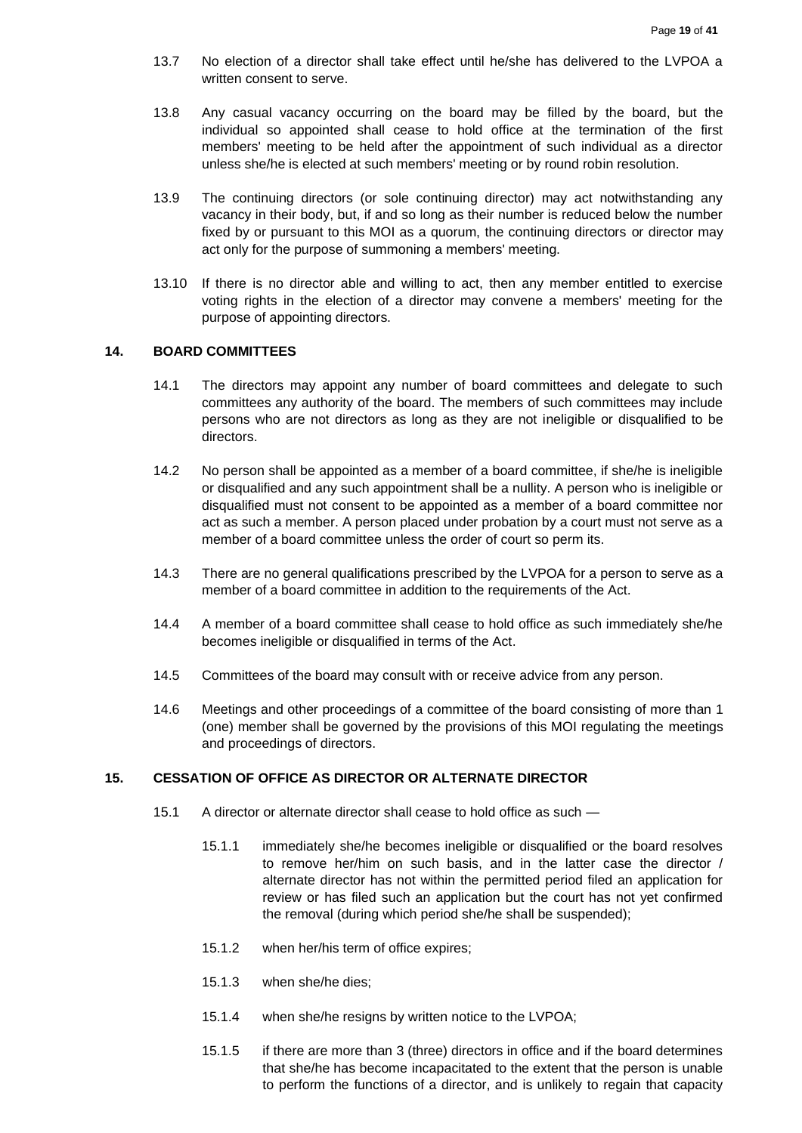- 13.7 No election of a director shall take effect until he/she has delivered to the LVPOA a written consent to serve.
- 13.8 Any casual vacancy occurring on the board may be filled by the board, but the individual so appointed shall cease to hold office at the termination of the first members' meeting to be held after the appointment of such individual as a director unless she/he is elected at such members' meeting or by round robin resolution.
- 13.9 The continuing directors (or sole continuing director) may act notwithstanding any vacancy in their body, but, if and so long as their number is reduced below the number fixed by or pursuant to this MOI as a quorum, the continuing directors or director may act only for the purpose of summoning a members' meeting.
- 13.10 If there is no director able and willing to act, then any member entitled to exercise voting rights in the election of a director may convene a members' meeting for the purpose of appointing directors.

#### <span id="page-18-0"></span>**14. BOARD COMMITTEES**

- 14.1 The directors may appoint any number of board committees and delegate to such committees any authority of the board. The members of such committees may include persons who are not directors as long as they are not ineligible or disqualified to be directors.
- 14.2 No person shall be appointed as a member of a board committee, if she/he is ineligible or disqualified and any such appointment shall be a nullity. A person who is ineligible or disqualified must not consent to be appointed as a member of a board committee nor act as such a member. A person placed under probation by a court must not serve as a member of a board committee unless the order of court so perm its.
- 14.3 There are no general qualifications prescribed by the LVPOA for a person to serve as a member of a board committee in addition to the requirements of the Act.
- 14.4 A member of a board committee shall cease to hold office as such immediately she/he becomes ineligible or disqualified in terms of the Act.
- 14.5 Committees of the board may consult with or receive advice from any person.
- 14.6 Meetings and other proceedings of a committee of the board consisting of more than 1 (one) member shall be governed by the provisions of this MOI regulating the meetings and proceedings of directors.

### <span id="page-18-1"></span>**15. CESSATION OF OFFICE AS DIRECTOR OR ALTERNATE DIRECTOR**

- 15.1 A director or alternate director shall cease to hold office as such
	- 15.1.1 immediately she/he becomes ineligible or disqualified or the board resolves to remove her/him on such basis, and in the latter case the director / alternate director has not within the permitted period filed an application for review or has filed such an application but the court has not yet confirmed the removal (during which period she/he shall be suspended);
	- 15.1.2 when her/his term of office expires;
	- 15.1.3 when she/he dies;
	- 15.1.4 when she/he resigns by written notice to the LVPOA;
	- 15.1.5 if there are more than 3 (three) directors in office and if the board determines that she/he has become incapacitated to the extent that the person is unable to perform the functions of a director, and is unlikely to regain that capacity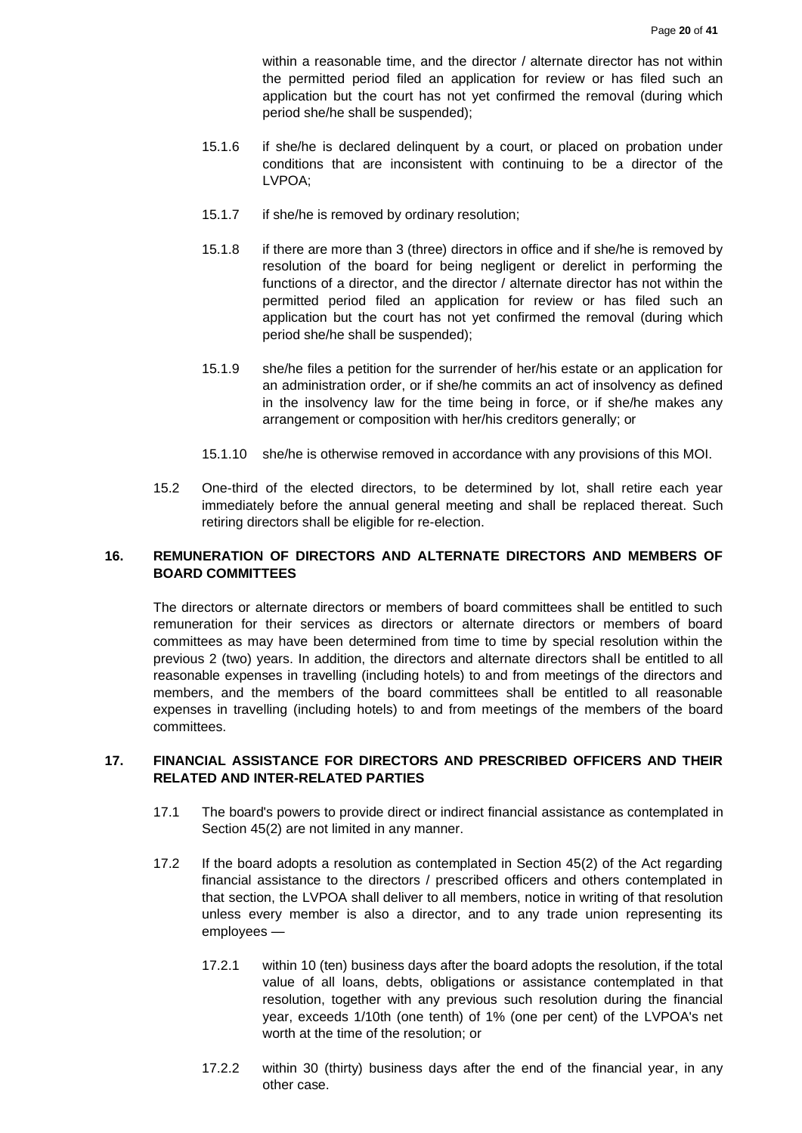within a reasonable time, and the director / alternate director has not within the permitted period filed an application for review or has filed such an application but the court has not yet confirmed the removal (during which period she/he shall be suspended);

- 15.1.6 if she/he is declared delinquent by a court, or placed on probation under conditions that are inconsistent with continuing to be a director of the LVPOA;
- 15.1.7 if she/he is removed by ordinary resolution;
- 15.1.8 if there are more than 3 (three) directors in office and if she/he is removed by resolution of the board for being negligent or derelict in performing the functions of a director, and the director / alternate director has not within the permitted period filed an application for review or has filed such an application but the court has not yet confirmed the removal (during which period she/he shall be suspended);
- 15.1.9 she/he files a petition for the surrender of her/his estate or an application for an administration order, or if she/he commits an act of insolvency as defined in the insolvency law for the time being in force, or if she/he makes any arrangement or composition with her/his creditors generally; or
- 15.1.10 she/he is otherwise removed in accordance with any provisions of this MOI.
- 15.2 One-third of the elected directors, to be determined by lot, shall retire each year immediately before the annual general meeting and shall be replaced thereat. Such retiring directors shall be eligible for re-election.

# <span id="page-19-0"></span>**16. REMUNERATION OF DIRECTORS AND ALTERNATE DIRECTORS AND MEMBERS OF BOARD COMMITTEES**

The directors or alternate directors or members of board committees shall be entitled to such remuneration for their services as directors or alternate directors or members of board committees as may have been determined from time to time by special resolution within the previous 2 (two) years. In addition, the directors and alternate directors shall be entitled to all reasonable expenses in travelling (including hotels) to and from meetings of the directors and members, and the members of the board committees shall be entitled to all reasonable expenses in travelling (including hotels) to and from meetings of the members of the board committees.

# <span id="page-19-1"></span>**17. FINANCIAL ASSISTANCE FOR DIRECTORS AND PRESCRIBED OFFICERS AND THEIR RELATED AND INTER-RELATED PARTIES**

- 17.1 The board's powers to provide direct or indirect financial assistance as contemplated in Section 45(2) are not limited in any manner.
- 17.2 If the board adopts a resolution as contemplated in Section 45(2) of the Act regarding financial assistance to the directors / prescribed officers and others contemplated in that section, the LVPOA shall deliver to all members, notice in writing of that resolution unless every member is also a director, and to any trade union representing its employees —
	- 17.2.1 within 10 (ten) business days after the board adopts the resolution, if the total value of all loans, debts, obligations or assistance contemplated in that resolution, together with any previous such resolution during the financial year, exceeds 1/10th (one tenth) of 1% (one per cent) of the LVPOA's net worth at the time of the resolution; or
	- 17.2.2 within 30 (thirty) business days after the end of the financial year, in any other case.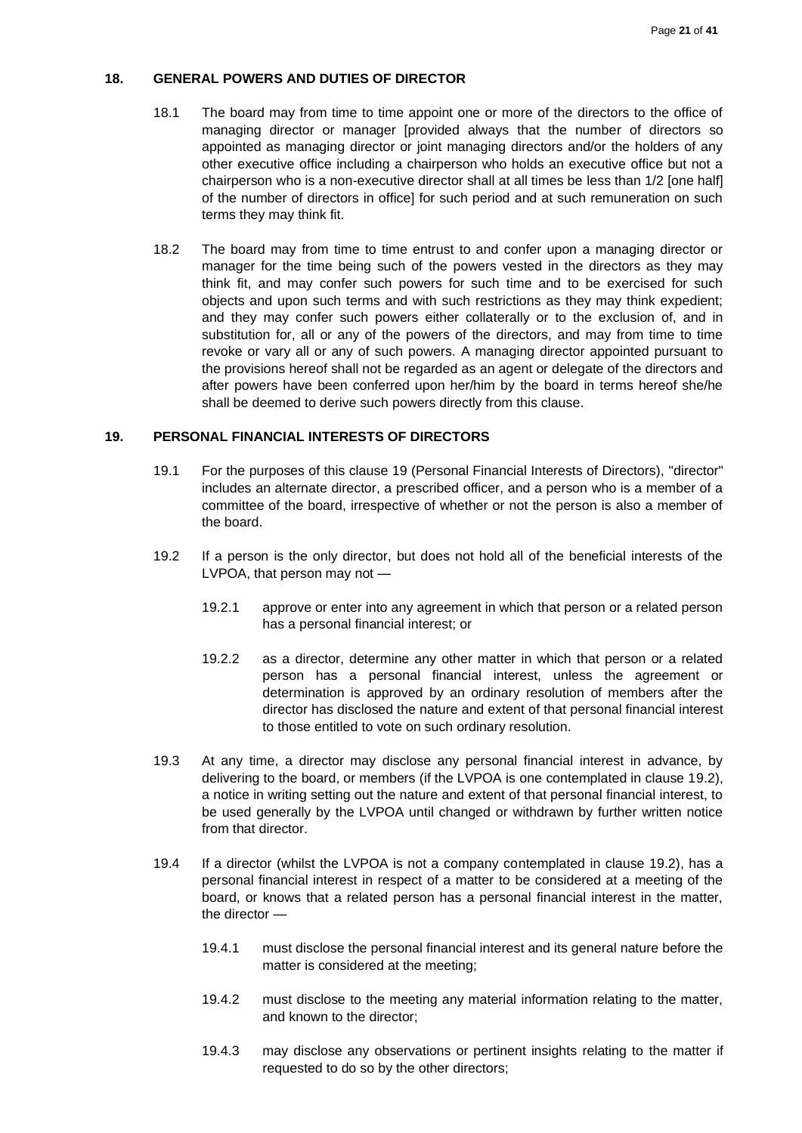## <span id="page-20-0"></span>**18. GENERAL POWERS AND DUTIES OF DIRECTOR**

- 18.1 The board may from time to time appoint one or more of the directors to the office of managing director or manager [provided always that the number of directors so appointed as managing director or joint managing directors and/or the holders of any other executive office including a chairperson who holds an executive office but not a chairperson who is a non-executive director shall at all times be less than 1/2 [one half] of the number of directors in office] for such period and at such remuneration on such terms they may think fit.
- 18.2 The board may from time to time entrust to and confer upon a managing director or manager for the time being such of the powers vested in the directors as they may think fit, and may confer such powers for such time and to be exercised for such objects and upon such terms and with such restrictions as they may think expedient; and they may confer such powers either collaterally or to the exclusion of, and in substitution for, all or any of the powers of the directors, and may from time to time revoke or vary all or any of such powers. A managing director appointed pursuant to the provisions hereof shall not be regarded as an agent or delegate of the directors and after powers have been conferred upon her/him by the board in terms hereof she/he shall be deemed to derive such powers directly from this clause.

#### <span id="page-20-1"></span>**19. PERSONAL FINANCIAL INTERESTS OF DIRECTORS**

- 19.1 For the purposes of this clause 19 (Personal Financial Interests of Directors), "director" includes an alternate director, a prescribed officer, and a person who is a member of a committee of the board, irrespective of whether or not the person is also a member of the board.
- 19.2 If a person is the only director, but does not hold all of the beneficial interests of the LVPOA, that person may not —
	- 19.2.1 approve or enter into any agreement in which that person or a related person has a personal financial interest; or
	- 19.2.2 as a director, determine any other matter in which that person or a related person has a personal financial interest, unless the agreement or determination is approved by an ordinary resolution of members after the director has disclosed the nature and extent of that personal financial interest to those entitled to vote on such ordinary resolution.
- 19.3 At any time, a director may disclose any personal financial interest in advance, by delivering to the board, or members (if the LVPOA is one contemplated in clause 19.2), a notice in writing setting out the nature and extent of that personal financial interest, to be used generally by the LVPOA until changed or withdrawn by further written notice from that director.
- 19.4 If a director (whilst the LVPOA is not a company contemplated in clause 19.2), has a personal financial interest in respect of a matter to be considered at a meeting of the board, or knows that a related person has a personal financial interest in the matter, the director —
	- 19.4.1 must disclose the personal financial interest and its general nature before the matter is considered at the meeting;
	- 19.4.2 must disclose to the meeting any material information relating to the matter, and known to the director;
	- 19.4.3 may disclose any observations or pertinent insights relating to the matter if requested to do so by the other directors;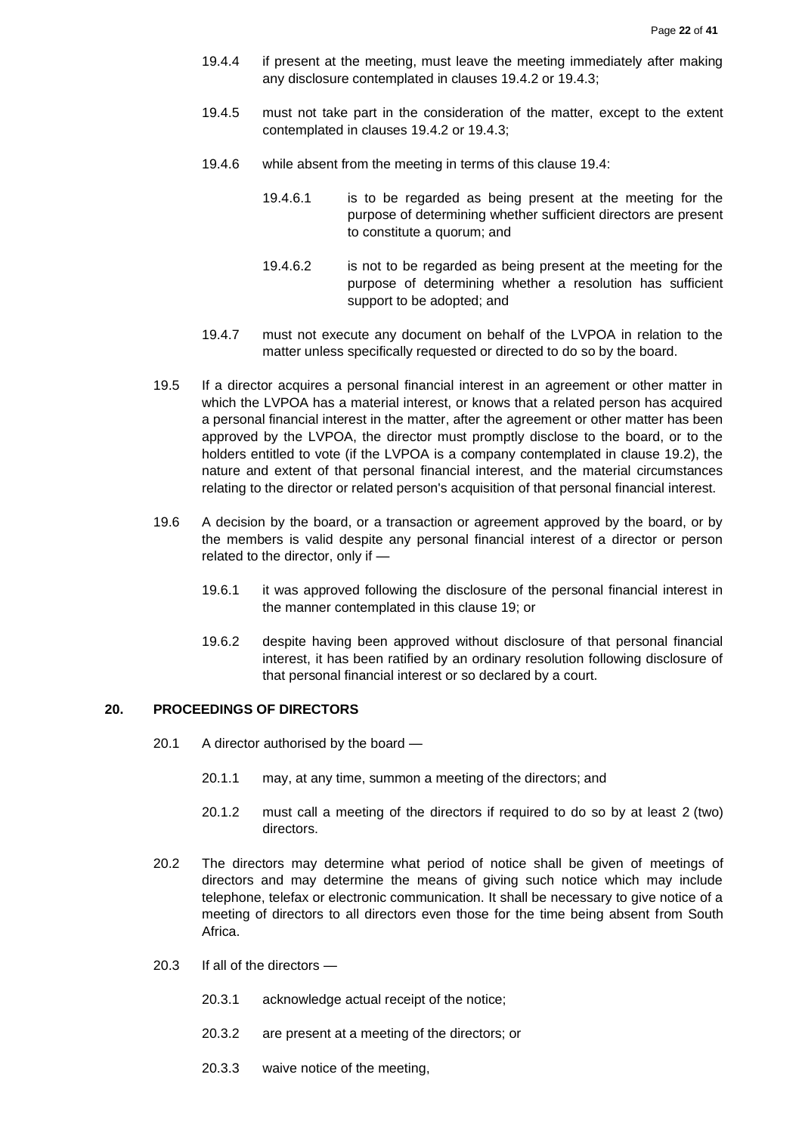- 19.4.4 if present at the meeting, must leave the meeting immediately after making any disclosure contemplated in clauses 19.4.2 or 19.4.3;
- 19.4.5 must not take part in the consideration of the matter, except to the extent contemplated in clauses 19.4.2 or 19.4.3;
- 19.4.6 while absent from the meeting in terms of this clause 19.4:
	- 19.4.6.1 is to be regarded as being present at the meeting for the purpose of determining whether sufficient directors are present to constitute a quorum; and
	- 19.4.6.2 is not to be regarded as being present at the meeting for the purpose of determining whether a resolution has sufficient support to be adopted; and
- 19.4.7 must not execute any document on behalf of the LVPOA in relation to the matter unless specifically requested or directed to do so by the board.
- 19.5 If a director acquires a personal financial interest in an agreement or other matter in which the LVPOA has a material interest, or knows that a related person has acquired a personal financial interest in the matter, after the agreement or other matter has been approved by the LVPOA, the director must promptly disclose to the board, or to the holders entitled to vote (if the LVPOA is a company contemplated in clause 19.2), the nature and extent of that personal financial interest, and the material circumstances relating to the director or related person's acquisition of that personal financial interest.
- 19.6 A decision by the board, or a transaction or agreement approved by the board, or by the members is valid despite any personal financial interest of a director or person related to the director, only if —
	- 19.6.1 it was approved following the disclosure of the personal financial interest in the manner contemplated in this clause 19; or
	- 19.6.2 despite having been approved without disclosure of that personal financial interest, it has been ratified by an ordinary resolution following disclosure of that personal financial interest or so declared by a court.

## <span id="page-21-0"></span>**20. PROCEEDINGS OF DIRECTORS**

- 20.1 A director authorised by the board
	- 20.1.1 may, at any time, summon a meeting of the directors; and
	- 20.1.2 must call a meeting of the directors if required to do so by at least 2 (two) directors.
- 20.2 The directors may determine what period of notice shall be given of meetings of directors and may determine the means of giving such notice which may include telephone, telefax or electronic communication. It shall be necessary to give notice of a meeting of directors to all directors even those for the time being absent from South Africa.
- 20.3 If all of the directors
	- 20.3.1 acknowledge actual receipt of the notice;
	- 20.3.2 are present at a meeting of the directors; or
	- 20.3.3 waive notice of the meeting,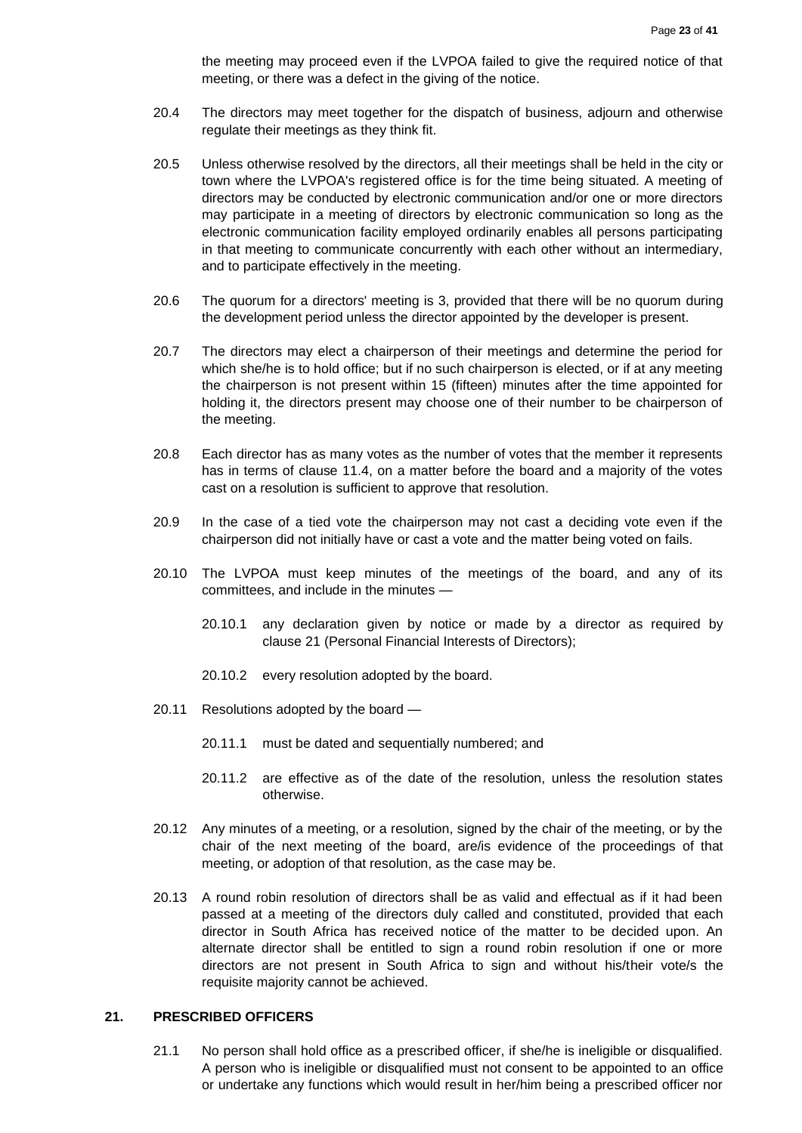the meeting may proceed even if the LVPOA failed to give the required notice of that meeting, or there was a defect in the giving of the notice.

- 20.4 The directors may meet together for the dispatch of business, adjourn and otherwise regulate their meetings as they think fit.
- 20.5 Unless otherwise resolved by the directors, all their meetings shall be held in the city or town where the LVPOA's registered office is for the time being situated. A meeting of directors may be conducted by electronic communication and/or one or more directors may participate in a meeting of directors by electronic communication so long as the electronic communication facility employed ordinarily enables all persons participating in that meeting to communicate concurrently with each other without an intermediary, and to participate effectively in the meeting.
- 20.6 The quorum for a directors' meeting is 3, provided that there will be no quorum during the development period unless the director appointed by the developer is present.
- 20.7 The directors may elect a chairperson of their meetings and determine the period for which she/he is to hold office; but if no such chairperson is elected, or if at any meeting the chairperson is not present within 15 (fifteen) minutes after the time appointed for holding it, the directors present may choose one of their number to be chairperson of the meeting.
- 20.8 Each director has as many votes as the number of votes that the member it represents has in terms of clause 11.4, on a matter before the board and a majority of the votes cast on a resolution is sufficient to approve that resolution.
- 20.9 In the case of a tied vote the chairperson may not cast a deciding vote even if the chairperson did not initially have or cast a vote and the matter being voted on fails.
- 20.10 The LVPOA must keep minutes of the meetings of the board, and any of its committees, and include in the minutes —
	- 20.10.1 any declaration given by notice or made by a director as required by clause 21 (Personal Financial Interests of Directors);
	- 20.10.2 every resolution adopted by the board.
- 20.11 Resolutions adopted by the board
	- 20.11.1 must be dated and sequentially numbered; and
	- 20.11.2 are effective as of the date of the resolution, unless the resolution states otherwise.
- 20.12 Any minutes of a meeting, or a resolution, signed by the chair of the meeting, or by the chair of the next meeting of the board, are/is evidence of the proceedings of that meeting, or adoption of that resolution, as the case may be.
- 20.13 A round robin resolution of directors shall be as valid and effectual as if it had been passed at a meeting of the directors duly called and constituted, provided that each director in South Africa has received notice of the matter to be decided upon. An alternate director shall be entitled to sign a round robin resolution if one or more directors are not present in South Africa to sign and without his/their vote/s the requisite majority cannot be achieved.

#### <span id="page-22-0"></span>**21. PRESCRIBED OFFICERS**

21.1 No person shall hold office as a prescribed officer, if she/he is ineligible or disqualified. A person who is ineligible or disqualified must not consent to be appointed to an office or undertake any functions which would result in her/him being a prescribed officer nor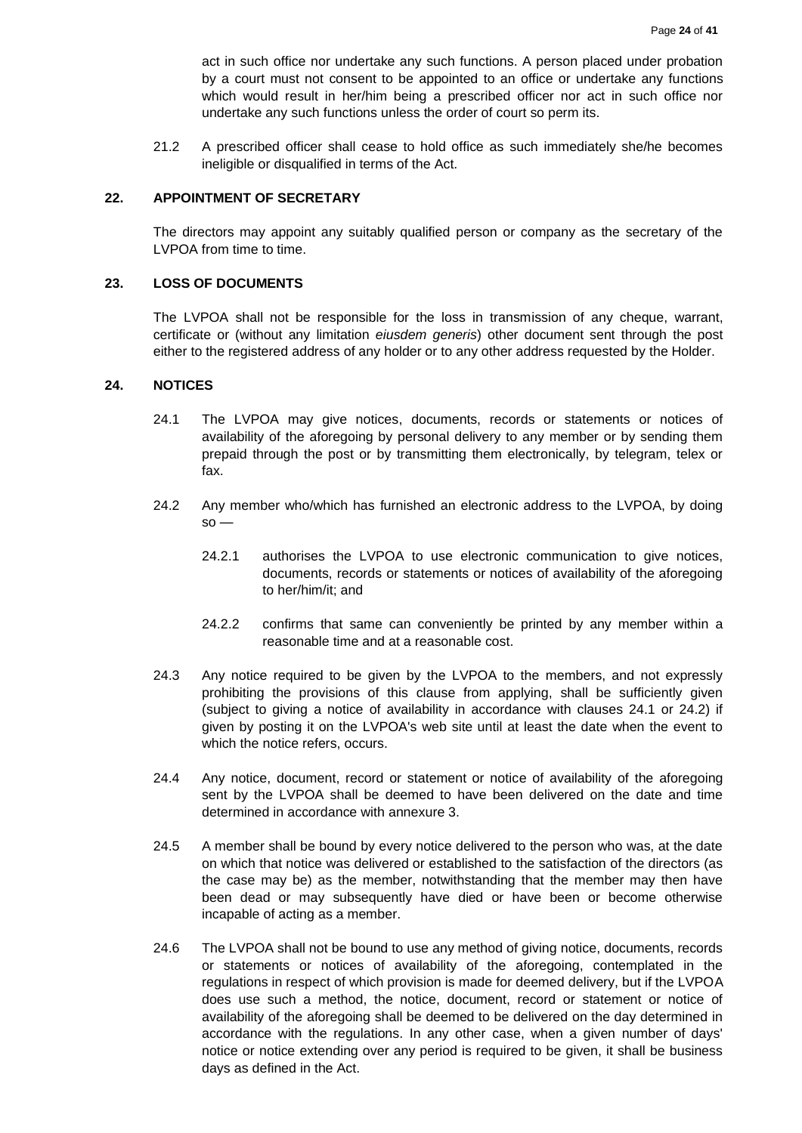act in such office nor undertake any such functions. A person placed under probation by a court must not consent to be appointed to an office or undertake any functions which would result in her/him being a prescribed officer nor act in such office nor undertake any such functions unless the order of court so perm its.

21.2 A prescribed officer shall cease to hold office as such immediately she/he becomes ineligible or disqualified in terms of the Act.

#### <span id="page-23-0"></span>**22. APPOINTMENT OF SECRETARY**

The directors may appoint any suitably qualified person or company as the secretary of the LVPOA from time to time.

#### <span id="page-23-1"></span>**23. LOSS OF DOCUMENTS**

The LVPOA shall not be responsible for the loss in transmission of any cheque, warrant, certificate or (without any limitation *eiusdem generis*) other document sent through the post either to the registered address of any holder or to any other address requested by the Holder.

#### <span id="page-23-2"></span>**24. NOTICES**

- 24.1 The LVPOA may give notices, documents, records or statements or notices of availability of the aforegoing by personal delivery to any member or by sending them prepaid through the post or by transmitting them electronically, by telegram, telex or fax.
- 24.2 Any member who/which has furnished an electronic address to the LVPOA, by doing  $so -$ 
	- 24.2.1 authorises the LVPOA to use electronic communication to give notices, documents, records or statements or notices of availability of the aforegoing to her/him/it; and
	- 24.2.2 confirms that same can conveniently be printed by any member within a reasonable time and at a reasonable cost.
- 24.3 Any notice required to be given by the LVPOA to the members, and not expressly prohibiting the provisions of this clause from applying, shall be sufficiently given (subject to giving a notice of availability in accordance with clauses 24.1 or 24.2) if given by posting it on the LVPOA's web site until at least the date when the event to which the notice refers, occurs.
- 24.4 Any notice, document, record or statement or notice of availability of the aforegoing sent by the LVPOA shall be deemed to have been delivered on the date and time determined in accordance with annexure 3.
- 24.5 A member shall be bound by every notice delivered to the person who was, at the date on which that notice was delivered or established to the satisfaction of the directors (as the case may be) as the member, notwithstanding that the member may then have been dead or may subsequently have died or have been or become otherwise incapable of acting as a member.
- 24.6 The LVPOA shall not be bound to use any method of giving notice, documents, records or statements or notices of availability of the aforegoing, contemplated in the regulations in respect of which provision is made for deemed delivery, but if the LVPOA does use such a method, the notice, document, record or statement or notice of availability of the aforegoing shall be deemed to be delivered on the day determined in accordance with the regulations. In any other case, when a given number of days' notice or notice extending over any period is required to be given, it shall be business days as defined in the Act.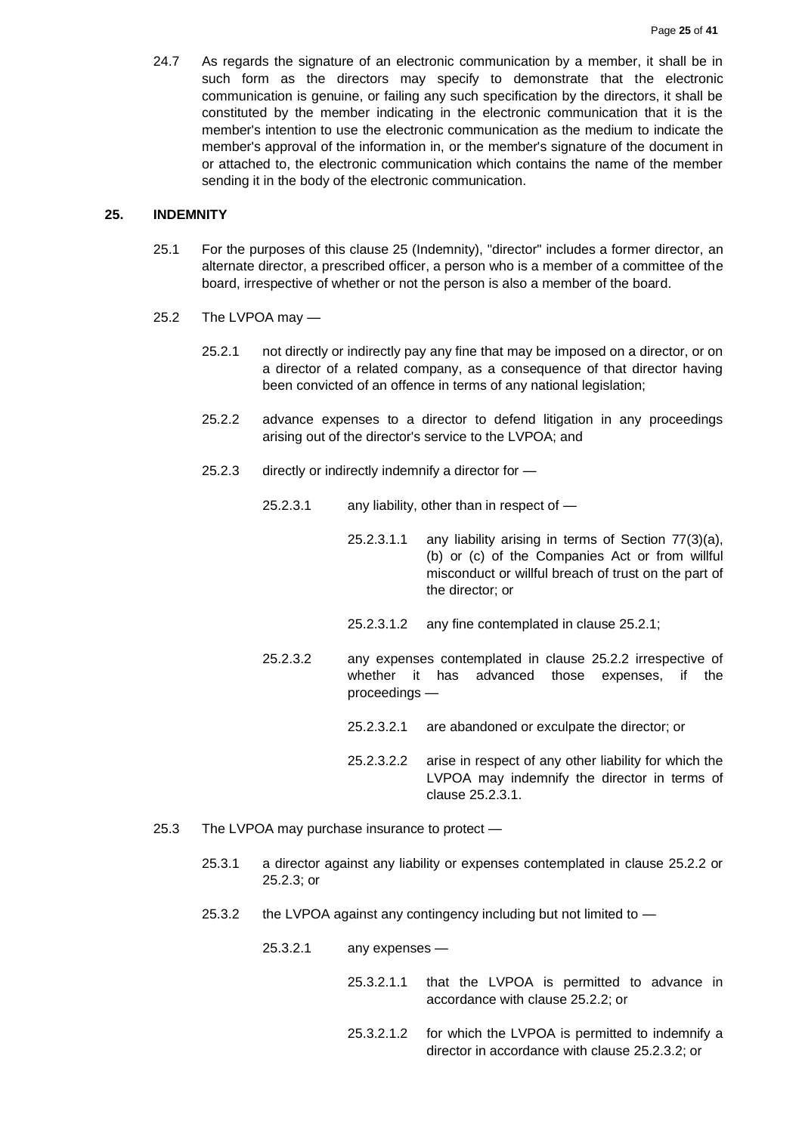24.7 As regards the signature of an electronic communication by a member, it shall be in such form as the directors may specify to demonstrate that the electronic communication is genuine, or failing any such specification by the directors, it shall be constituted by the member indicating in the electronic communication that it is the member's intention to use the electronic communication as the medium to indicate the member's approval of the information in, or the member's signature of the document in or attached to, the electronic communication which contains the name of the member sending it in the body of the electronic communication.

#### <span id="page-24-0"></span>**25. INDEMNITY**

- 25.1 For the purposes of this clause 25 (Indemnity), "director" includes a former director, an alternate director, a prescribed officer, a person who is a member of a committee of the board, irrespective of whether or not the person is also a member of the board.
- 25.2 The LVPOA may
	- 25.2.1 not directly or indirectly pay any fine that may be imposed on a director, or on a director of a related company, as a consequence of that director having been convicted of an offence in terms of any national legislation;
	- 25.2.2 advance expenses to a director to defend litigation in any proceedings arising out of the director's service to the LVPOA; and
	- 25.2.3 directly or indirectly indemnify a director for
		- 25.2.3.1 any liability, other than in respect of
			- 25.2.3.1.1 any liability arising in terms of Section 77(3)(a), (b) or (c) of the Companies Act or from willful misconduct or willful breach of trust on the part of the director; or
			- 25.2.3.1.2 any fine contemplated in clause 25.2.1;
		- 25.2.3.2 any expenses contemplated in clause 25.2.2 irrespective of whether it has advanced those expenses, if the proceedings —
			- 25.2.3.2.1 are abandoned or exculpate the director; or
			- 25.2.3.2.2 arise in respect of any other liability for which the LVPOA may indemnify the director in terms of clause 25.2.3.1.
- 25.3 The LVPOA may purchase insurance to protect
	- 25.3.1 a director against any liability or expenses contemplated in clause 25.2.2 or 25.2.3; or
	- 25.3.2 the LVPOA against any contingency including but not limited to
		- 25.3.2.1 any expenses
			- 25.3.2.1.1 that the LVPOA is permitted to advance in accordance with clause 25.2.2; or
			- 25.3.2.1.2 for which the LVPOA is permitted to indemnify a director in accordance with clause 25.2.3.2; or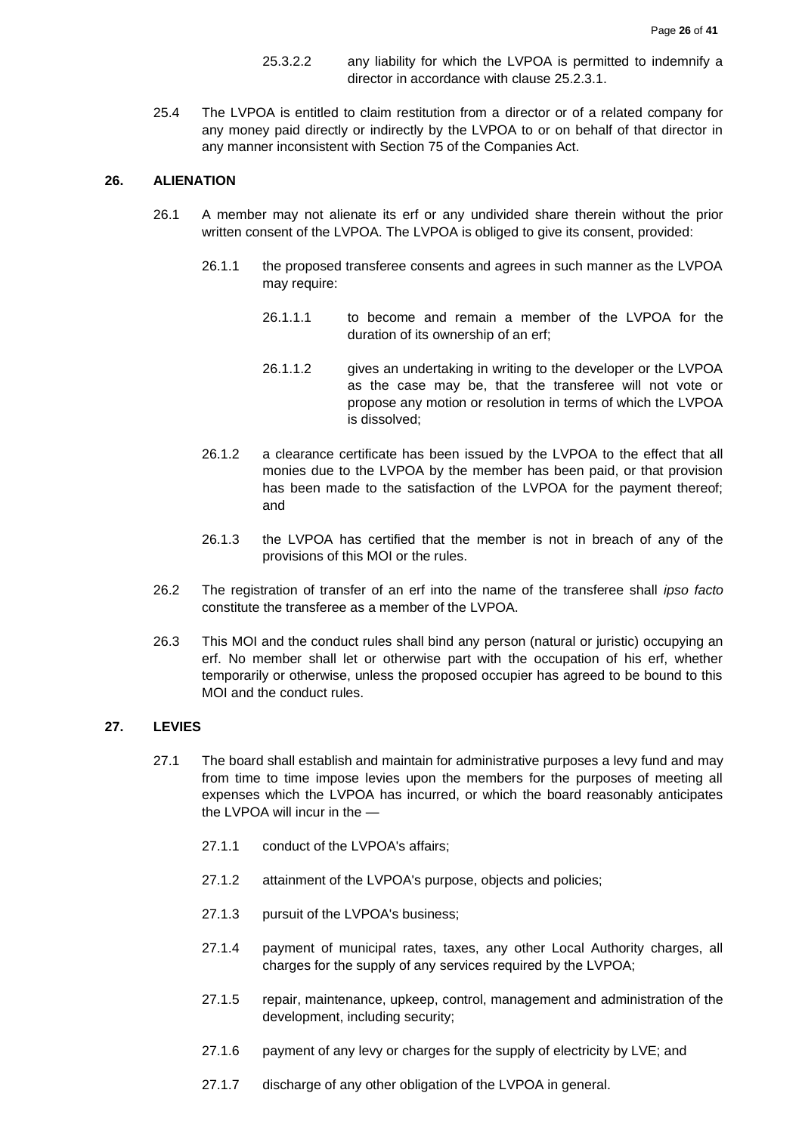- 25.3.2.2 any liability for which the LVPOA is permitted to indemnify a director in accordance with clause 25.2.3.1.
- 25.4 The LVPOA is entitled to claim restitution from a director or of a related company for any money paid directly or indirectly by the LVPOA to or on behalf of that director in any manner inconsistent with Section 75 of the Companies Act.

#### <span id="page-25-0"></span>**26. ALIENATION**

- 26.1 A member may not alienate its erf or any undivided share therein without the prior written consent of the LVPOA. The LVPOA is obliged to give its consent, provided:
	- 26.1.1 the proposed transferee consents and agrees in such manner as the LVPOA may require:
		- 26.1.1.1 to become and remain a member of the LVPOA for the duration of its ownership of an erf;
		- 26.1.1.2 gives an undertaking in writing to the developer or the LVPOA as the case may be, that the transferee will not vote or propose any motion or resolution in terms of which the LVPOA is dissolved;
	- 26.1.2 a clearance certificate has been issued by the LVPOA to the effect that all monies due to the LVPOA by the member has been paid, or that provision has been made to the satisfaction of the LVPOA for the payment thereof; and
	- 26.1.3 the LVPOA has certified that the member is not in breach of any of the provisions of this MOI or the rules.
- 26.2 The registration of transfer of an erf into the name of the transferee shall *ipso facto* constitute the transferee as a member of the LVPOA.
- 26.3 This MOI and the conduct rules shall bind any person (natural or juristic) occupying an erf. No member shall let or otherwise part with the occupation of his erf, whether temporarily or otherwise, unless the proposed occupier has agreed to be bound to this MOI and the conduct rules.

#### <span id="page-25-1"></span>**27. LEVIES**

- 27.1 The board shall establish and maintain for administrative purposes a levy fund and may from time to time impose levies upon the members for the purposes of meeting all expenses which the LVPOA has incurred, or which the board reasonably anticipates the LVPOA will incur in the —
	- 27.1.1 conduct of the LVPOA's affairs;
	- 27.1.2 attainment of the LVPOA's purpose, objects and policies;
	- 27.1.3 pursuit of the LVPOA's business;
	- 27.1.4 payment of municipal rates, taxes, any other Local Authority charges, all charges for the supply of any services required by the LVPOA;
	- 27.1.5 repair, maintenance, upkeep, control, management and administration of the development, including security;
	- 27.1.6 payment of any levy or charges for the supply of electricity by LVE; and
	- 27.1.7 discharge of any other obligation of the LVPOA in general.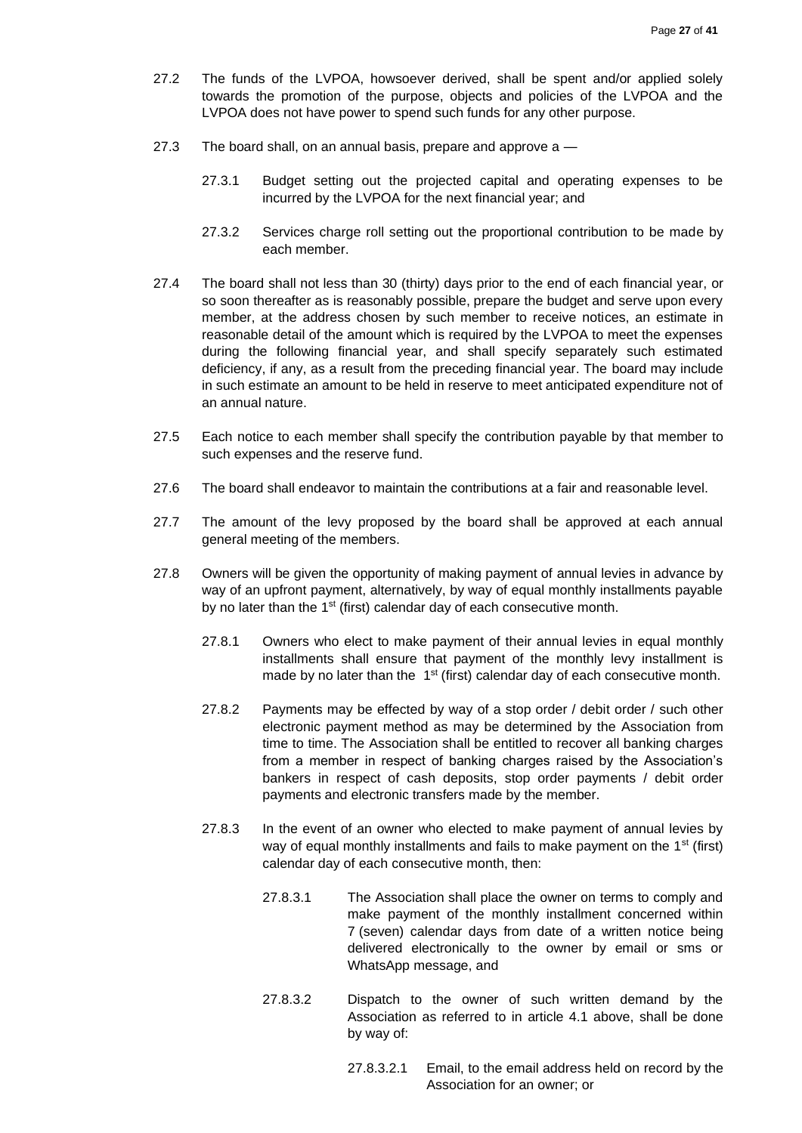- 27.2 The funds of the LVPOA, howsoever derived, shall be spent and/or applied solely towards the promotion of the purpose, objects and policies of the LVPOA and the LVPOA does not have power to spend such funds for any other purpose.
- 27.3 The board shall, on an annual basis, prepare and approve a -
	- 27.3.1 Budget setting out the projected capital and operating expenses to be incurred by the LVPOA for the next financial year; and
	- 27.3.2 Services charge roll setting out the proportional contribution to be made by each member.
- 27.4 The board shall not less than 30 (thirty) days prior to the end of each financial year, or so soon thereafter as is reasonably possible, prepare the budget and serve upon every member, at the address chosen by such member to receive notices, an estimate in reasonable detail of the amount which is required by the LVPOA to meet the expenses during the following financial year, and shall specify separately such estimated deficiency, if any, as a result from the preceding financial year. The board may include in such estimate an amount to be held in reserve to meet anticipated expenditure not of an annual nature.
- 27.5 Each notice to each member shall specify the contribution payable by that member to such expenses and the reserve fund.
- 27.6 The board shall endeavor to maintain the contributions at a fair and reasonable level.
- 27.7 The amount of the levy proposed by the board shall be approved at each annual general meeting of the members.
- 27.8 Owners will be given the opportunity of making payment of annual levies in advance by way of an upfront payment, alternatively, by way of equal monthly installments payable by no later than the 1<sup>st</sup> (first) calendar day of each consecutive month.
	- 27.8.1 Owners who elect to make payment of their annual levies in equal monthly installments shall ensure that payment of the monthly levy installment is made by no later than the 1<sup>st</sup> (first) calendar day of each consecutive month.
	- 27.8.2 Payments may be effected by way of a stop order / debit order / such other electronic payment method as may be determined by the Association from time to time. The Association shall be entitled to recover all banking charges from a member in respect of banking charges raised by the Association's bankers in respect of cash deposits, stop order payments / debit order payments and electronic transfers made by the member.
	- 27.8.3 In the event of an owner who elected to make payment of annual levies by way of equal monthly installments and fails to make payment on the 1<sup>st</sup> (first) calendar day of each consecutive month, then:
		- 27.8.3.1 The Association shall place the owner on terms to comply and make payment of the monthly installment concerned within 7 (seven) calendar days from date of a written notice being delivered electronically to the owner by email or sms or WhatsApp message, and
		- 27.8.3.2 Dispatch to the owner of such written demand by the Association as referred to in article 4.1 above, shall be done by way of:
			- 27.8.3.2.1 Email, to the email address held on record by the Association for an owner; or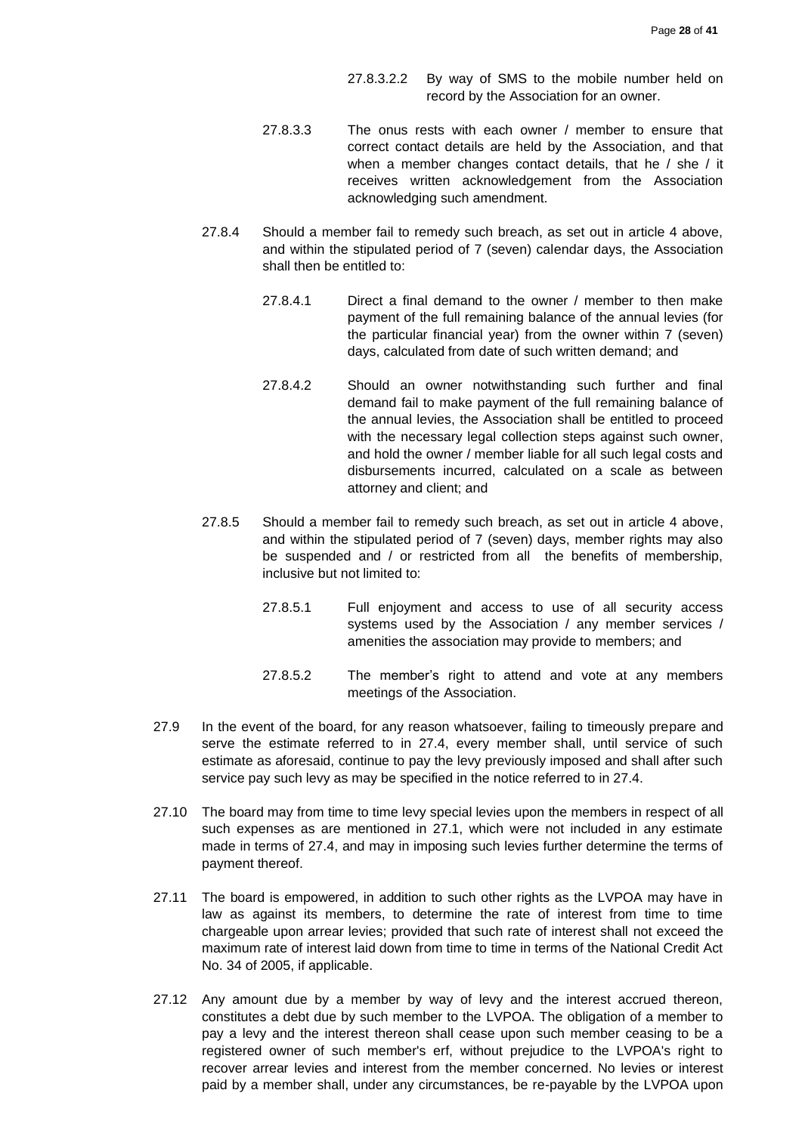- 27.8.3.2.2 By way of SMS to the mobile number held on record by the Association for an owner.
- 27.8.3.3 The onus rests with each owner / member to ensure that correct contact details are held by the Association, and that when a member changes contact details, that he / she / it receives written acknowledgement from the Association acknowledging such amendment.
- 27.8.4 Should a member fail to remedy such breach, as set out in article 4 above, and within the stipulated period of 7 (seven) calendar days, the Association shall then be entitled to:
	- 27.8.4.1 Direct a final demand to the owner / member to then make payment of the full remaining balance of the annual levies (for the particular financial year) from the owner within 7 (seven) days, calculated from date of such written demand; and
	- 27.8.4.2 Should an owner notwithstanding such further and final demand fail to make payment of the full remaining balance of the annual levies, the Association shall be entitled to proceed with the necessary legal collection steps against such owner, and hold the owner / member liable for all such legal costs and disbursements incurred, calculated on a scale as between attorney and client; and
- 27.8.5 Should a member fail to remedy such breach, as set out in article 4 above, and within the stipulated period of 7 (seven) days, member rights may also be suspended and / or restricted from all the benefits of membership, inclusive but not limited to:
	- 27.8.5.1 Full enjoyment and access to use of all security access systems used by the Association / any member services / amenities the association may provide to members; and
	- 27.8.5.2 The member's right to attend and vote at any members meetings of the Association.
- 27.9 In the event of the board, for any reason whatsoever, failing to timeously prepare and serve the estimate referred to in 27.4, every member shall, until service of such estimate as aforesaid, continue to pay the levy previously imposed and shall after such service pay such levy as may be specified in the notice referred to in 27.4.
- 27.10 The board may from time to time levy special levies upon the members in respect of all such expenses as are mentioned in 27.1, which were not included in any estimate made in terms of 27.4, and may in imposing such levies further determine the terms of payment thereof.
- 27.11 The board is empowered, in addition to such other rights as the LVPOA may have in law as against its members, to determine the rate of interest from time to time chargeable upon arrear levies; provided that such rate of interest shall not exceed the maximum rate of interest laid down from time to time in terms of the National Credit Act No. 34 of 2005, if applicable.
- 27.12 Any amount due by a member by way of levy and the interest accrued thereon, constitutes a debt due by such member to the LVPOA. The obligation of a member to pay a levy and the interest thereon shall cease upon such member ceasing to be a registered owner of such member's erf, without prejudice to the LVPOA's right to recover arrear levies and interest from the member concerned. No levies or interest paid by a member shall, under any circumstances, be re-payable by the LVPOA upon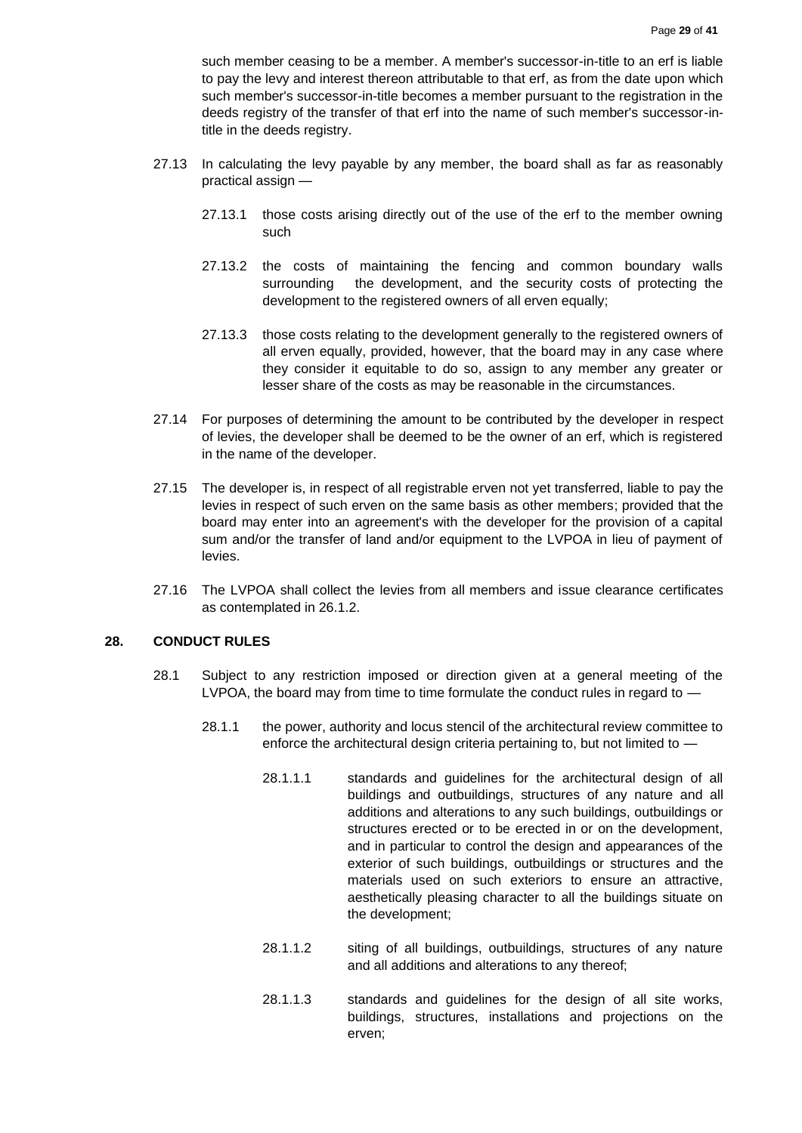such member ceasing to be a member. A member's successor-in-title to an erf is liable to pay the levy and interest thereon attributable to that erf, as from the date upon which such member's successor-in-title becomes a member pursuant to the registration in the deeds registry of the transfer of that erf into the name of such member's successor-intitle in the deeds registry.

- 27.13 In calculating the levy payable by any member, the board shall as far as reasonably practical assign —
	- 27.13.1 those costs arising directly out of the use of the erf to the member owning such
	- 27.13.2 the costs of maintaining the fencing and common boundary walls surrounding the development, and the security costs of protecting the development to the registered owners of all erven equally;
	- 27.13.3 those costs relating to the development generally to the registered owners of all erven equally, provided, however, that the board may in any case where they consider it equitable to do so, assign to any member any greater or lesser share of the costs as may be reasonable in the circumstances.
- 27.14 For purposes of determining the amount to be contributed by the developer in respect of levies, the developer shall be deemed to be the owner of an erf, which is registered in the name of the developer.
- 27.15 The developer is, in respect of all registrable erven not yet transferred, liable to pay the levies in respect of such erven on the same basis as other members; provided that the board may enter into an agreement's with the developer for the provision of a capital sum and/or the transfer of land and/or equipment to the LVPOA in lieu of payment of levies.
- 27.16 The LVPOA shall collect the levies from all members and issue clearance certificates as contemplated in 26.1.2.

## <span id="page-28-0"></span>**28. CONDUCT RULES**

- 28.1 Subject to any restriction imposed or direction given at a general meeting of the LVPOA, the board may from time to time formulate the conduct rules in regard to —
	- 28.1.1 the power, authority and locus stencil of the architectural review committee to enforce the architectural design criteria pertaining to, but not limited to —
		- 28.1.1.1 standards and guidelines for the architectural design of all buildings and outbuildings, structures of any nature and all additions and alterations to any such buildings, outbuildings or structures erected or to be erected in or on the development, and in particular to control the design and appearances of the exterior of such buildings, outbuildings or structures and the materials used on such exteriors to ensure an attractive, aesthetically pleasing character to all the buildings situate on the development;
		- 28.1.1.2 siting of all buildings, outbuildings, structures of any nature and all additions and alterations to any thereof;
		- 28.1.1.3 standards and guidelines for the design of all site works, buildings, structures, installations and projections on the erven;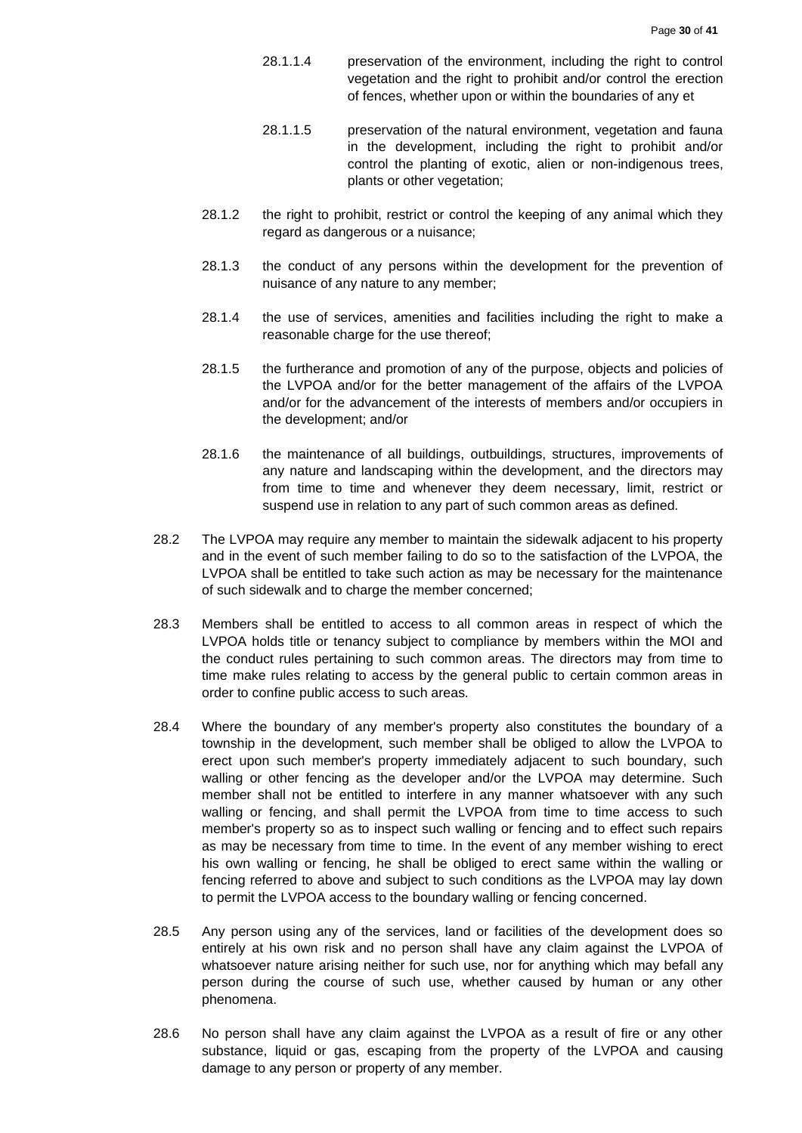- 28.1.1.4 preservation of the environment, including the right to control vegetation and the right to prohibit and/or control the erection of fences, whether upon or within the boundaries of any et
- 28.1.1.5 preservation of the natural environment, vegetation and fauna in the development, including the right to prohibit and/or control the planting of exotic, alien or non-indigenous trees, plants or other vegetation;
- 28.1.2 the right to prohibit, restrict or control the keeping of any animal which they regard as dangerous or a nuisance;
- 28.1.3 the conduct of any persons within the development for the prevention of nuisance of any nature to any member;
- 28.1.4 the use of services, amenities and facilities including the right to make a reasonable charge for the use thereof;
- 28.1.5 the furtherance and promotion of any of the purpose, objects and policies of the LVPOA and/or for the better management of the affairs of the LVPOA and/or for the advancement of the interests of members and/or occupiers in the development; and/or
- 28.1.6 the maintenance of all buildings, outbuildings, structures, improvements of any nature and landscaping within the development, and the directors may from time to time and whenever they deem necessary, limit, restrict or suspend use in relation to any part of such common areas as defined.
- 28.2 The LVPOA may require any member to maintain the sidewalk adjacent to his property and in the event of such member failing to do so to the satisfaction of the LVPOA, the LVPOA shall be entitled to take such action as may be necessary for the maintenance of such sidewalk and to charge the member concerned;
- 28.3 Members shall be entitled to access to all common areas in respect of which the LVPOA holds title or tenancy subject to compliance by members within the MOI and the conduct rules pertaining to such common areas. The directors may from time to time make rules relating to access by the general public to certain common areas in order to confine public access to such areas.
- 28.4 Where the boundary of any member's property also constitutes the boundary of a township in the development, such member shall be obliged to allow the LVPOA to erect upon such member's property immediately adjacent to such boundary, such walling or other fencing as the developer and/or the LVPOA may determine. Such member shall not be entitled to interfere in any manner whatsoever with any such walling or fencing, and shall permit the LVPOA from time to time access to such member's property so as to inspect such walling or fencing and to effect such repairs as may be necessary from time to time. In the event of any member wishing to erect his own walling or fencing, he shall be obliged to erect same within the walling or fencing referred to above and subject to such conditions as the LVPOA may lay down to permit the LVPOA access to the boundary walling or fencing concerned.
- 28.5 Any person using any of the services, land or facilities of the development does so entirely at his own risk and no person shall have any claim against the LVPOA of whatsoever nature arising neither for such use, nor for anything which may befall any person during the course of such use, whether caused by human or any other phenomena.
- 28.6 No person shall have any claim against the LVPOA as a result of fire or any other substance, liquid or gas, escaping from the property of the LVPOA and causing damage to any person or property of any member.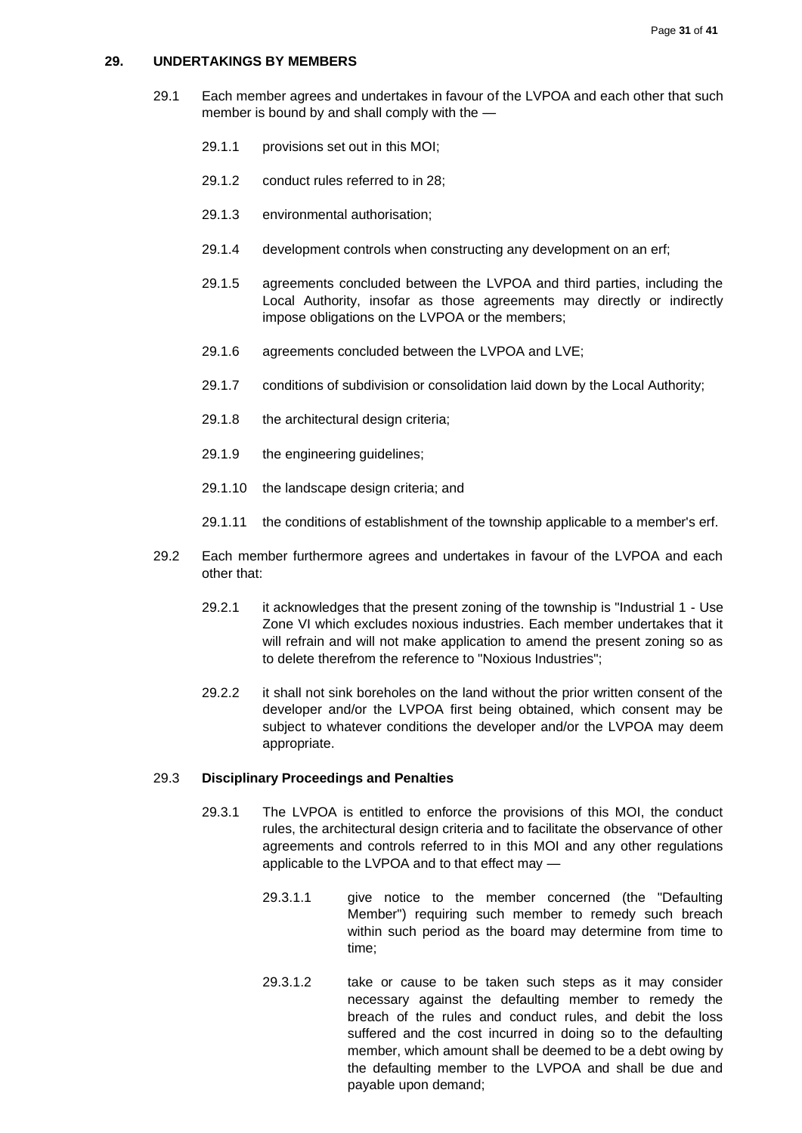#### <span id="page-30-0"></span>**29. UNDERTAKINGS BY MEMBERS**

- 29.1 Each member agrees and undertakes in favour of the LVPOA and each other that such member is bound by and shall comply with the —
	- 29.1.1 provisions set out in this MOI;
	- 29.1.2 conduct rules referred to in 28;
	- 29.1.3 environmental authorisation;
	- 29.1.4 development controls when constructing any development on an erf;
	- 29.1.5 agreements concluded between the LVPOA and third parties, including the Local Authority, insofar as those agreements may directly or indirectly impose obligations on the LVPOA or the members;
	- 29.1.6 agreements concluded between the LVPOA and LVE;
	- 29.1.7 conditions of subdivision or consolidation laid down by the Local Authority;
	- 29.1.8 the architectural design criteria;
	- 29.1.9 the engineering guidelines;
	- 29.1.10 the landscape design criteria; and
	- 29.1.11 the conditions of establishment of the township applicable to a member's erf.
- 29.2 Each member furthermore agrees and undertakes in favour of the LVPOA and each other that:
	- 29.2.1 it acknowledges that the present zoning of the township is "Industrial 1 Use Zone VI which excludes noxious industries. Each member undertakes that it will refrain and will not make application to amend the present zoning so as to delete therefrom the reference to "Noxious Industries";
	- 29.2.2 it shall not sink boreholes on the land without the prior written consent of the developer and/or the LVPOA first being obtained, which consent may be subject to whatever conditions the developer and/or the LVPOA may deem appropriate.

#### 29.3 **Disciplinary Proceedings and Penalties**

- 29.3.1 The LVPOA is entitled to enforce the provisions of this MOI, the conduct rules, the architectural design criteria and to facilitate the observance of other agreements and controls referred to in this MOI and any other regulations applicable to the LVPOA and to that effect may —
	- 29.3.1.1 give notice to the member concerned (the "Defaulting Member") requiring such member to remedy such breach within such period as the board may determine from time to time;
	- 29.3.1.2 take or cause to be taken such steps as it may consider necessary against the defaulting member to remedy the breach of the rules and conduct rules, and debit the loss suffered and the cost incurred in doing so to the defaulting member, which amount shall be deemed to be a debt owing by the defaulting member to the LVPOA and shall be due and payable upon demand;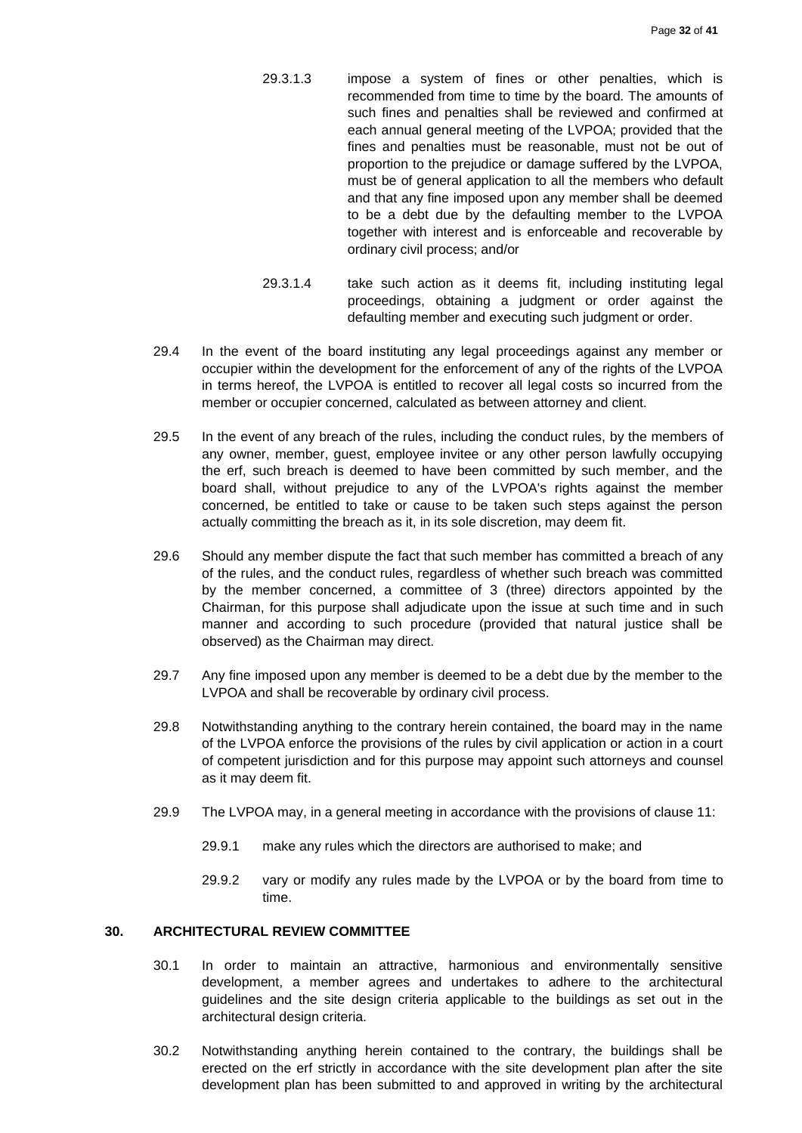- 29.3.1.3 impose a system of fines or other penalties, which is recommended from time to time by the board. The amounts of such fines and penalties shall be reviewed and confirmed at each annual general meeting of the LVPOA; provided that the fines and penalties must be reasonable, must not be out of proportion to the prejudice or damage suffered by the LVPOA, must be of general application to all the members who default and that any fine imposed upon any member shall be deemed to be a debt due by the defaulting member to the LVPOA together with interest and is enforceable and recoverable by ordinary civil process; and/or
- 29.3.1.4 take such action as it deems fit, including instituting legal proceedings, obtaining a judgment or order against the defaulting member and executing such judgment or order.
- 29.4 In the event of the board instituting any legal proceedings against any member or occupier within the development for the enforcement of any of the rights of the LVPOA in terms hereof, the LVPOA is entitled to recover all legal costs so incurred from the member or occupier concerned, calculated as between attorney and client.
- 29.5 In the event of any breach of the rules, including the conduct rules, by the members of any owner, member, guest, employee invitee or any other person lawfully occupying the erf, such breach is deemed to have been committed by such member, and the board shall, without prejudice to any of the LVPOA's rights against the member concerned, be entitled to take or cause to be taken such steps against the person actually committing the breach as it, in its sole discretion, may deem fit.
- 29.6 Should any member dispute the fact that such member has committed a breach of any of the rules, and the conduct rules, regardless of whether such breach was committed by the member concerned, a committee of 3 (three) directors appointed by the Chairman, for this purpose shall adjudicate upon the issue at such time and in such manner and according to such procedure (provided that natural justice shall be observed) as the Chairman may direct.
- 29.7 Any fine imposed upon any member is deemed to be a debt due by the member to the LVPOA and shall be recoverable by ordinary civil process.
- 29.8 Notwithstanding anything to the contrary herein contained, the board may in the name of the LVPOA enforce the provisions of the rules by civil application or action in a court of competent jurisdiction and for this purpose may appoint such attorneys and counsel as it may deem fit.
- 29.9 The LVPOA may, in a general meeting in accordance with the provisions of clause 11:
	- 29.9.1 make any rules which the directors are authorised to make; and
	- 29.9.2 vary or modify any rules made by the LVPOA or by the board from time to time.

# <span id="page-31-0"></span>**30. ARCHITECTURAL REVIEW COMMITTEE**

- 30.1 In order to maintain an attractive, harmonious and environmentally sensitive development, a member agrees and undertakes to adhere to the architectural guidelines and the site design criteria applicable to the buildings as set out in the architectural design criteria.
- 30.2 Notwithstanding anything herein contained to the contrary, the buildings shall be erected on the erf strictly in accordance with the site development plan after the site development plan has been submitted to and approved in writing by the architectural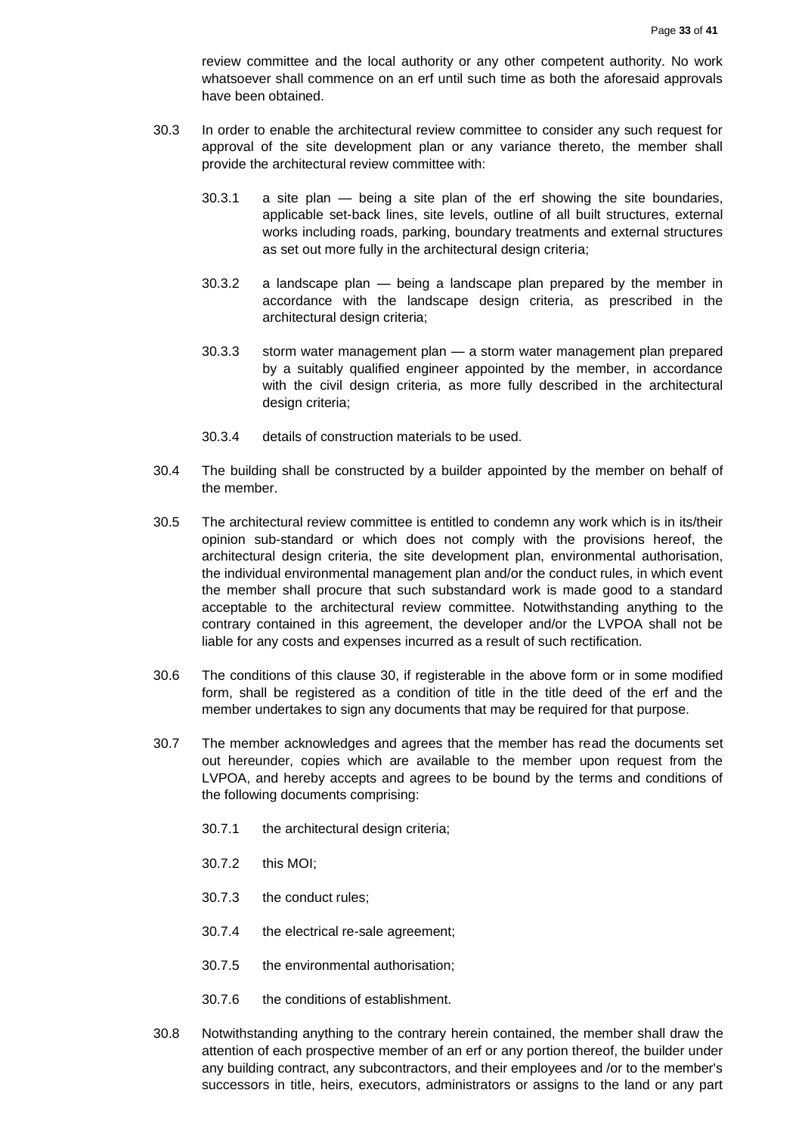review committee and the local authority or any other competent authority. No work whatsoever shall commence on an erf until such time as both the aforesaid approvals have been obtained.

- 30.3 In order to enable the architectural review committee to consider any such request for approval of the site development plan or any variance thereto, the member shall provide the architectural review committee with:
	- 30.3.1 a site plan being a site plan of the erf showing the site boundaries, applicable set-back lines, site levels, outline of all built structures, external works including roads, parking, boundary treatments and external structures as set out more fully in the architectural design criteria;
	- 30.3.2 a landscape plan being a landscape plan prepared by the member in accordance with the landscape design criteria, as prescribed in the architectural design criteria;
	- 30.3.3 storm water management plan a storm water management plan prepared by a suitably qualified engineer appointed by the member, in accordance with the civil design criteria, as more fully described in the architectural design criteria;
	- 30.3.4 details of construction materials to be used.
- 30.4 The building shall be constructed by a builder appointed by the member on behalf of the member.
- 30.5 The architectural review committee is entitled to condemn any work which is in its/their opinion sub-standard or which does not comply with the provisions hereof, the architectural design criteria, the site development plan, environmental authorisation, the individual environmental management plan and/or the conduct rules, in which event the member shall procure that such substandard work is made good to a standard acceptable to the architectural review committee. Notwithstanding anything to the contrary contained in this agreement, the developer and/or the LVPOA shall not be liable for any costs and expenses incurred as a result of such rectification.
- 30.6 The conditions of this clause 30, if registerable in the above form or in some modified form, shall be registered as a condition of title in the title deed of the erf and the member undertakes to sign any documents that may be required for that purpose.
- 30.7 The member acknowledges and agrees that the member has read the documents set out hereunder, copies which are available to the member upon request from the LVPOA, and hereby accepts and agrees to be bound by the terms and conditions of the following documents comprising:
	- 30.7.1 the architectural design criteria;
	- 30.7.2 this MOI;
	- 30.7.3 the conduct rules;
	- 30.7.4 the electrical re-sale agreement;
	- 30.7.5 the environmental authorisation;
	- 30.7.6 the conditions of establishment.
- 30.8 Notwithstanding anything to the contrary herein contained, the member shall draw the attention of each prospective member of an erf or any portion thereof, the builder under any building contract, any subcontractors, and their employees and /or to the member's successors in title, heirs, executors, administrators or assigns to the land or any part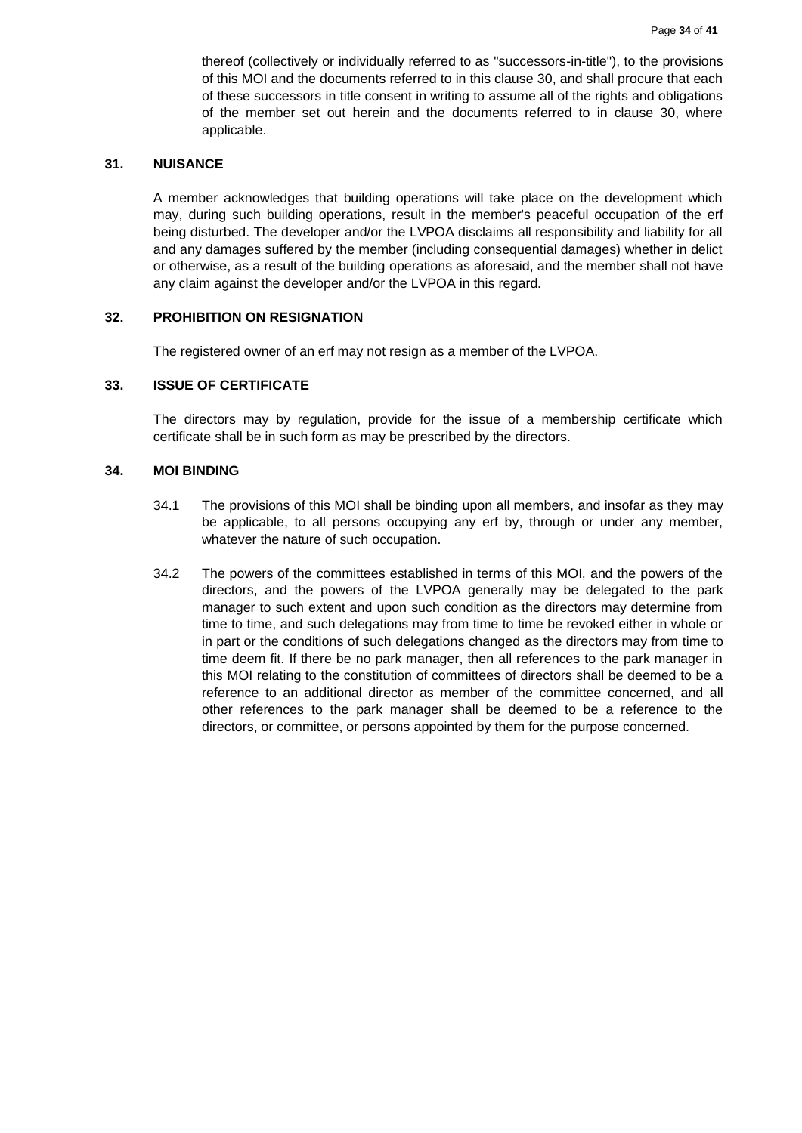thereof (collectively or individually referred to as "successors-in-title"), to the provisions of this MOI and the documents referred to in this clause 30, and shall procure that each of these successors in title consent in writing to assume all of the rights and obligations of the member set out herein and the documents referred to in clause 30, where applicable.

#### <span id="page-33-0"></span>**31. NUISANCE**

A member acknowledges that building operations will take place on the development which may, during such building operations, result in the member's peaceful occupation of the erf being disturbed. The developer and/or the LVPOA disclaims all responsibility and liability for all and any damages suffered by the member (including consequential damages) whether in delict or otherwise, as a result of the building operations as aforesaid, and the member shall not have any claim against the developer and/or the LVPOA in this regard.

#### <span id="page-33-1"></span>**32. PROHIBITION ON RESIGNATION**

The registered owner of an erf may not resign as a member of the LVPOA.

# <span id="page-33-2"></span>**33. ISSUE OF CERTIFICATE**

The directors may by regulation, provide for the issue of a membership certificate which certificate shall be in such form as may be prescribed by the directors.

### <span id="page-33-3"></span>**34. MOI BINDING**

- 34.1 The provisions of this MOI shall be binding upon all members, and insofar as they may be applicable, to all persons occupying any erf by, through or under any member, whatever the nature of such occupation.
- 34.2 The powers of the committees established in terms of this MOI, and the powers of the directors, and the powers of the LVPOA generally may be delegated to the park manager to such extent and upon such condition as the directors may determine from time to time, and such delegations may from time to time be revoked either in whole or in part or the conditions of such delegations changed as the directors may from time to time deem fit. If there be no park manager, then all references to the park manager in this MOI relating to the constitution of committees of directors shall be deemed to be a reference to an additional director as member of the committee concerned, and all other references to the park manager shall be deemed to be a reference to the directors, or committee, or persons appointed by them for the purpose concerned.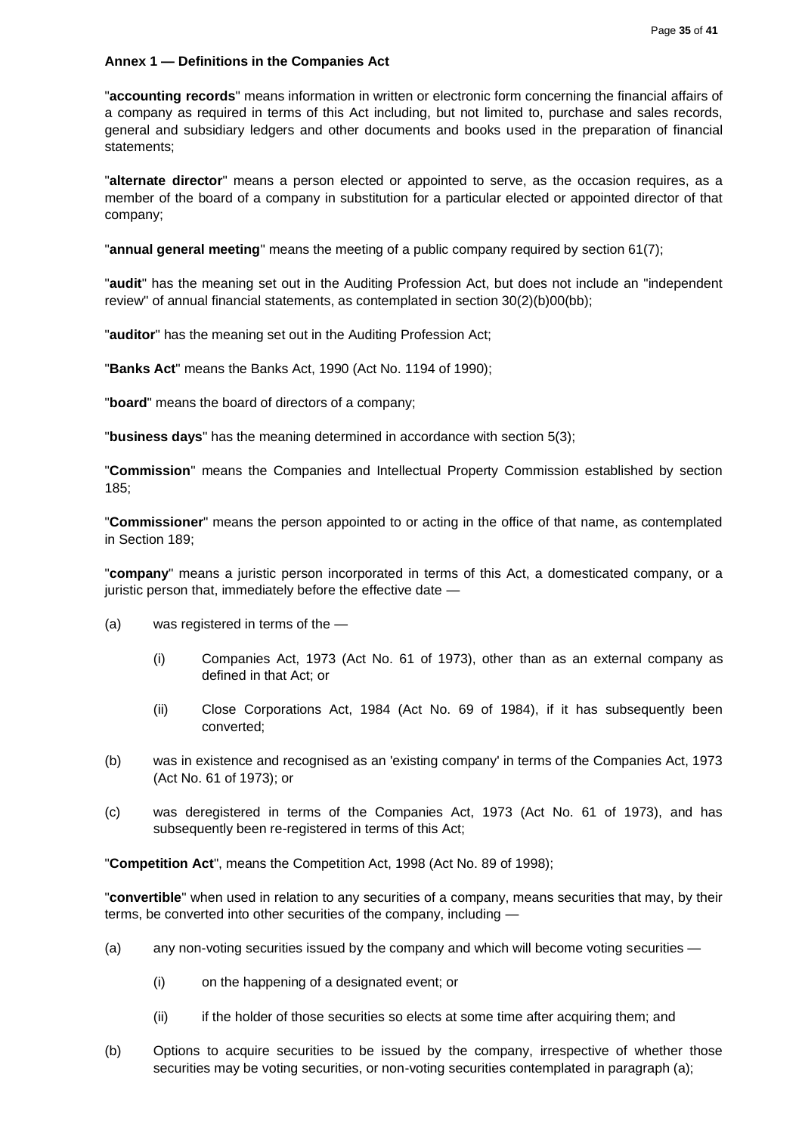#### <span id="page-34-0"></span>**Annex 1 — Definitions in the Companies Act**

"**accounting records**" means information in written or electronic form concerning the financial affairs of a company as required in terms of this Act including, but not limited to, purchase and sales records, general and subsidiary ledgers and other documents and books used in the preparation of financial statements;

"**alternate director**" means a person elected or appointed to serve, as the occasion requires, as a member of the board of a company in substitution for a particular elected or appointed director of that company;

"**annual general meeting**" means the meeting of a public company required by section 61(7);

"**audit**" has the meaning set out in the Auditing Profession Act, but does not include an "independent review" of annual financial statements, as contemplated in section 30(2)(b)00(bb);

"**auditor**" has the meaning set out in the Auditing Profession Act;

"**Banks Act**" means the Banks Act, 1990 (Act No. 1194 of 1990);

"**board**" means the board of directors of a company;

"**business days**" has the meaning determined in accordance with section 5(3);

"**Commission**" means the Companies and Intellectual Property Commission established by section 185;

"**Commissioner**" means the person appointed to or acting in the office of that name, as contemplated in Section 189;

"**company**" means a juristic person incorporated in terms of this Act, a domesticated company, or a juristic person that, immediately before the effective date -

- (a) was registered in terms of the
	- (i) Companies Act, 1973 (Act No. 61 of 1973), other than as an external company as defined in that Act; or
	- (ii) Close Corporations Act, 1984 (Act No. 69 of 1984), if it has subsequently been converted;
- (b) was in existence and recognised as an 'existing company' in terms of the Companies Act, 1973 (Act No. 61 of 1973); or
- (c) was deregistered in terms of the Companies Act, 1973 (Act No. 61 of 1973), and has subsequently been re-registered in terms of this Act;

"**Competition Act**", means the Competition Act, 1998 (Act No. 89 of 1998);

"**convertible**" when used in relation to any securities of a company, means securities that may, by their terms, be converted into other securities of the company, including —

- (a) any non-voting securities issued by the company and which will become voting securities -
	- (i) on the happening of a designated event; or
	- (ii) if the holder of those securities so elects at some time after acquiring them; and
- (b) Options to acquire securities to be issued by the company, irrespective of whether those securities may be voting securities, or non-voting securities contemplated in paragraph (a);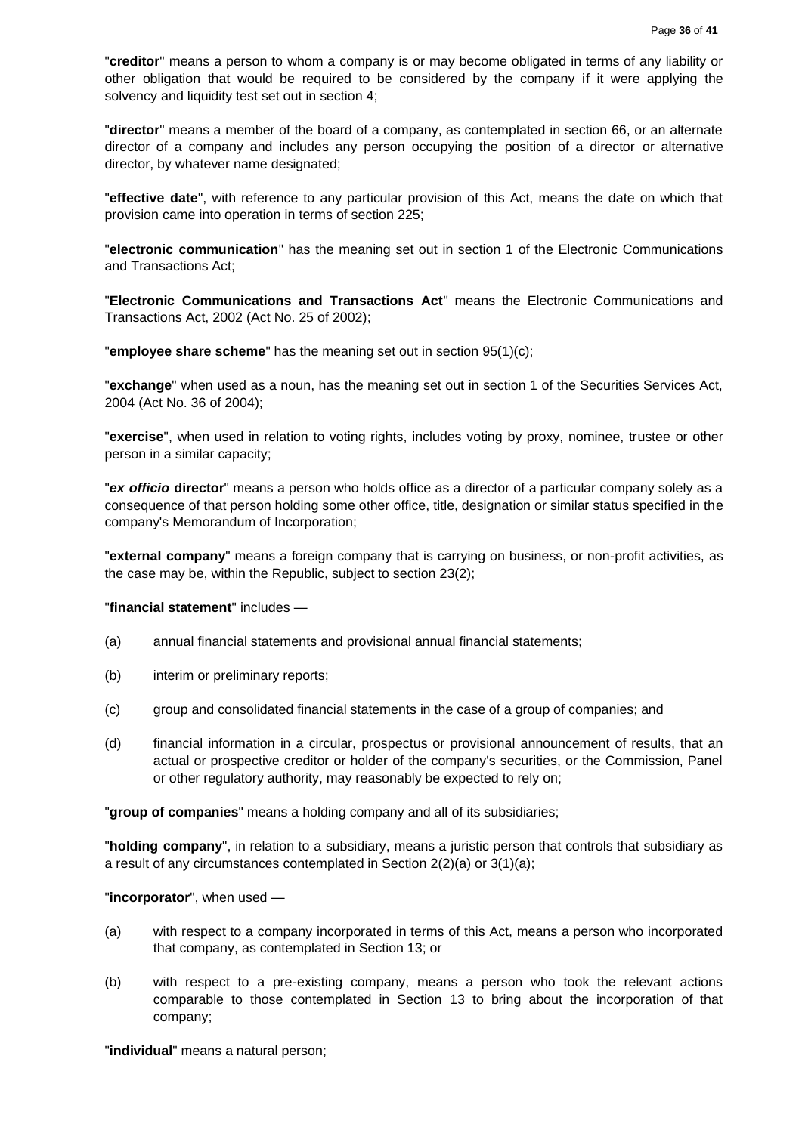"**creditor**" means a person to whom a company is or may become obligated in terms of any liability or other obligation that would be required to be considered by the company if it were applying the solvency and liquidity test set out in section 4;

"**director**" means a member of the board of a company, as contemplated in section 66, or an alternate director of a company and includes any person occupying the position of a director or alternative director, by whatever name designated;

"**effective date**", with reference to any particular provision of this Act, means the date on which that provision came into operation in terms of section 225;

"**electronic communication**" has the meaning set out in section 1 of the Electronic Communications and Transactions Act;

"**Electronic Communications and Transactions Act**" means the Electronic Communications and Transactions Act, 2002 (Act No. 25 of 2002);

"**employee share scheme**" has the meaning set out in section 95(1)(c);

"**exchange**" when used as a noun, has the meaning set out in section 1 of the Securities Services Act, 2004 (Act No. 36 of 2004);

"**exercise**", when used in relation to voting rights, includes voting by proxy, nominee, trustee or other person in a similar capacity;

"*ex officio* **director**" means a person who holds office as a director of a particular company solely as a consequence of that person holding some other office, title, designation or similar status specified in the company's Memorandum of Incorporation;

"**external company**" means a foreign company that is carrying on business, or non-profit activities, as the case may be, within the Republic, subject to section 23(2);

#### "**financial statement**" includes —

- (a) annual financial statements and provisional annual financial statements;
- (b) interim or preliminary reports;
- (c) group and consolidated financial statements in the case of a group of companies; and
- (d) financial information in a circular, prospectus or provisional announcement of results, that an actual or prospective creditor or holder of the company's securities, or the Commission, Panel or other regulatory authority, may reasonably be expected to rely on;

"**group of companies**" means a holding company and all of its subsidiaries;

"**holding company**", in relation to a subsidiary, means a juristic person that controls that subsidiary as a result of any circumstances contemplated in Section 2(2)(a) or 3(1)(a);

#### "**incorporator**", when used —

- (a) with respect to a company incorporated in terms of this Act, means a person who incorporated that company, as contemplated in Section 13; or
- (b) with respect to a pre-existing company, means a person who took the relevant actions comparable to those contemplated in Section 13 to bring about the incorporation of that company;

"**individual**" means a natural person;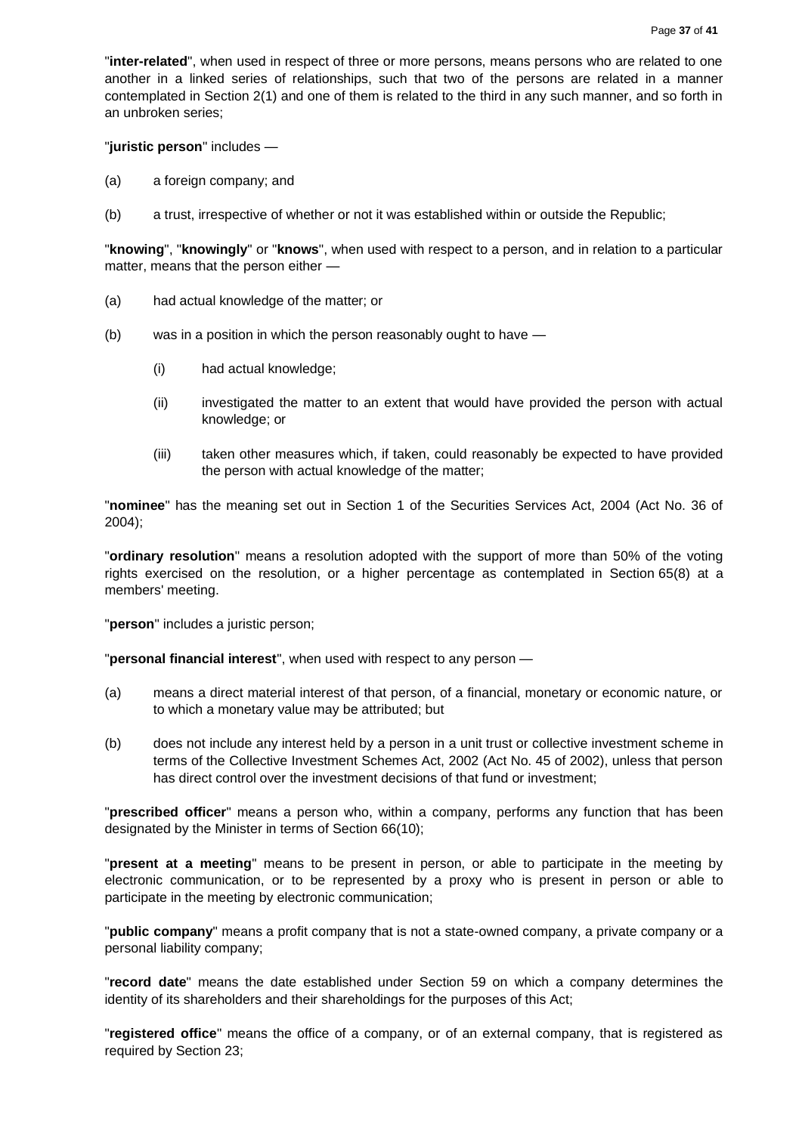"**inter-related**", when used in respect of three or more persons, means persons who are related to one another in a linked series of relationships, such that two of the persons are related in a manner contemplated in Section 2(1) and one of them is related to the third in any such manner, and so forth in an unbroken series;

"**juristic person**" includes —

- (a) a foreign company; and
- (b) a trust, irrespective of whether or not it was established within or outside the Republic;

"**knowing**", "**knowingly**" or "**knows**", when used with respect to a person, and in relation to a particular matter, means that the person either —

- (a) had actual knowledge of the matter; or
- (b) was in a position in which the person reasonably ought to have
	- (i) had actual knowledge;
	- (ii) investigated the matter to an extent that would have provided the person with actual knowledge; or
	- (iii) taken other measures which, if taken, could reasonably be expected to have provided the person with actual knowledge of the matter;

"**nominee**" has the meaning set out in Section 1 of the Securities Services Act, 2004 (Act No. 36 of 2004);

"**ordinary resolution**" means a resolution adopted with the support of more than 50% of the voting rights exercised on the resolution, or a higher percentage as contemplated in Section 65(8) at a members' meeting.

"**person**" includes a juristic person;

"**personal financial interest**", when used with respect to any person —

- (a) means a direct material interest of that person, of a financial, monetary or economic nature, or to which a monetary value may be attributed; but
- (b) does not include any interest held by a person in a unit trust or collective investment scheme in terms of the Collective Investment Schemes Act, 2002 (Act No. 45 of 2002), unless that person has direct control over the investment decisions of that fund or investment;

"**prescribed officer**" means a person who, within a company, performs any function that has been designated by the Minister in terms of Section 66(10);

"**present at a meeting**" means to be present in person, or able to participate in the meeting by electronic communication, or to be represented by a proxy who is present in person or able to participate in the meeting by electronic communication;

"**public company**" means a profit company that is not a state-owned company, a private company or a personal liability company;

"**record date**" means the date established under Section 59 on which a company determines the identity of its shareholders and their shareholdings for the purposes of this Act;

"**registered office**" means the office of a company, or of an external company, that is registered as required by Section 23;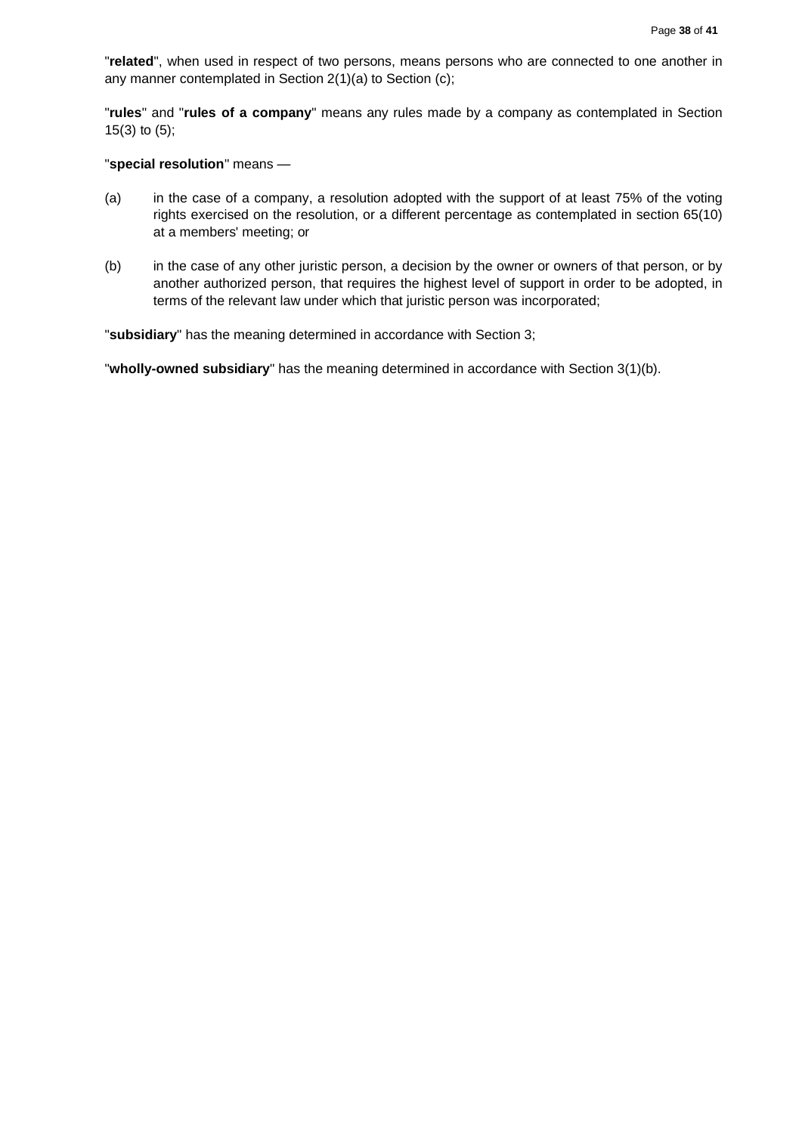"**related**", when used in respect of two persons, means persons who are connected to one another in any manner contemplated in Section 2(1)(a) to Section (c);

"**rules**" and "**rules of a company**" means any rules made by a company as contemplated in Section 15(3) to (5);

#### "**special resolution**" means —

- (a) in the case of a company, a resolution adopted with the support of at least 75% of the voting rights exercised on the resolution, or a different percentage as contemplated in section 65(10) at a members' meeting; or
- (b) in the case of any other juristic person, a decision by the owner or owners of that person, or by another authorized person, that requires the highest level of support in order to be adopted, in terms of the relevant law under which that juristic person was incorporated;

"**subsidiary**" has the meaning determined in accordance with Section 3;

"**wholly-owned subsidiary**" has the meaning determined in accordance with Section 3(1)(b).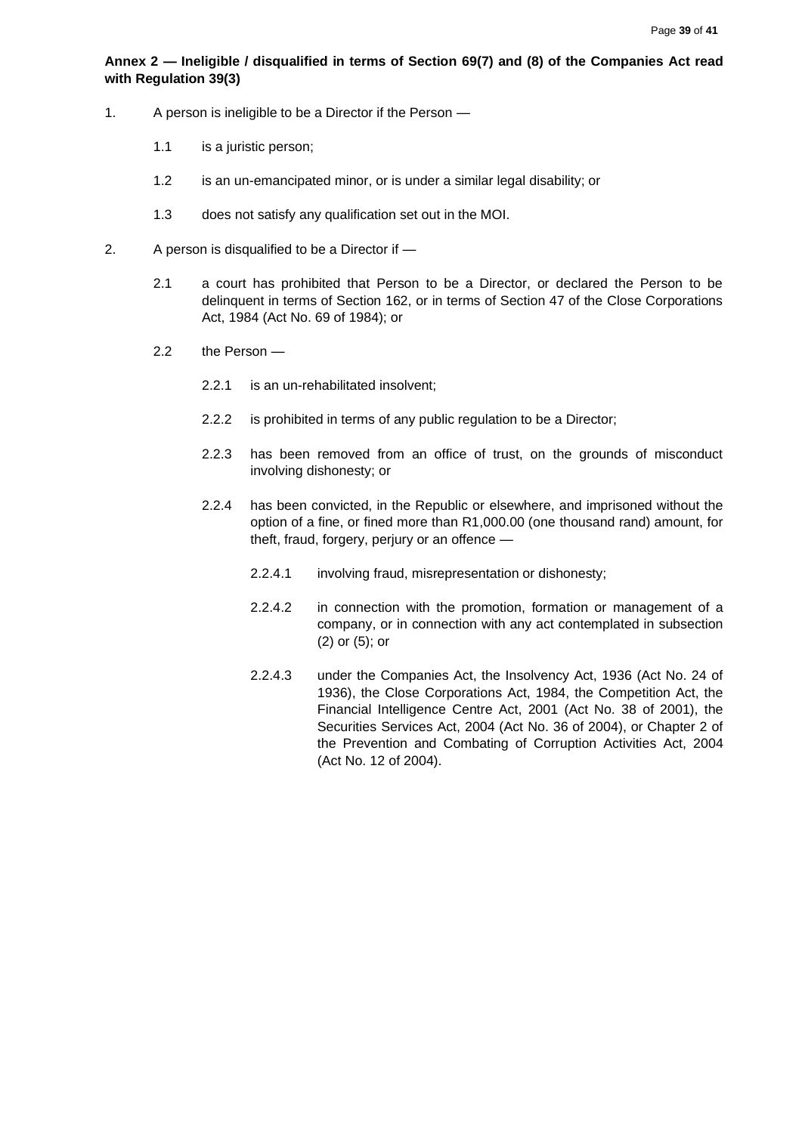# <span id="page-38-0"></span>**Annex 2 — Ineligible / disqualified in terms of Section 69(7) and (8) of the Companies Act read with Regulation 39(3)**

- 1. A person is ineligible to be a Director if the Person
	- 1.1 is a juristic person;
	- 1.2 is an un-emancipated minor, or is under a similar legal disability; or
	- 1.3 does not satisfy any qualification set out in the MOI.
- 2. A person is disqualified to be a Director if
	- 2.1 a court has prohibited that Person to be a Director, or declared the Person to be delinquent in terms of Section 162, or in terms of Section 47 of the Close Corporations Act, 1984 (Act No. 69 of 1984); or
	- 2.2 the Person
		- 2.2.1 is an un-rehabilitated insolvent;
		- 2.2.2 is prohibited in terms of any public regulation to be a Director;
		- 2.2.3 has been removed from an office of trust, on the grounds of misconduct involving dishonesty; or
		- 2.2.4 has been convicted, in the Republic or elsewhere, and imprisoned without the option of a fine, or fined more than R1,000.00 (one thousand rand) amount, for theft, fraud, forgery, perjury or an offence —
			- 2.2.4.1 involving fraud, misrepresentation or dishonesty;
			- 2.2.4.2 in connection with the promotion, formation or management of a company, or in connection with any act contemplated in subsection (2) or (5); or
			- 2.2.4.3 under the Companies Act, the Insolvency Act, 1936 (Act No. 24 of 1936), the Close Corporations Act, 1984, the Competition Act, the Financial Intelligence Centre Act, 2001 (Act No. 38 of 2001), the Securities Services Act, 2004 (Act No. 36 of 2004), or Chapter 2 of the Prevention and Combating of Corruption Activities Act, 2004 (Act No. 12 of 2004).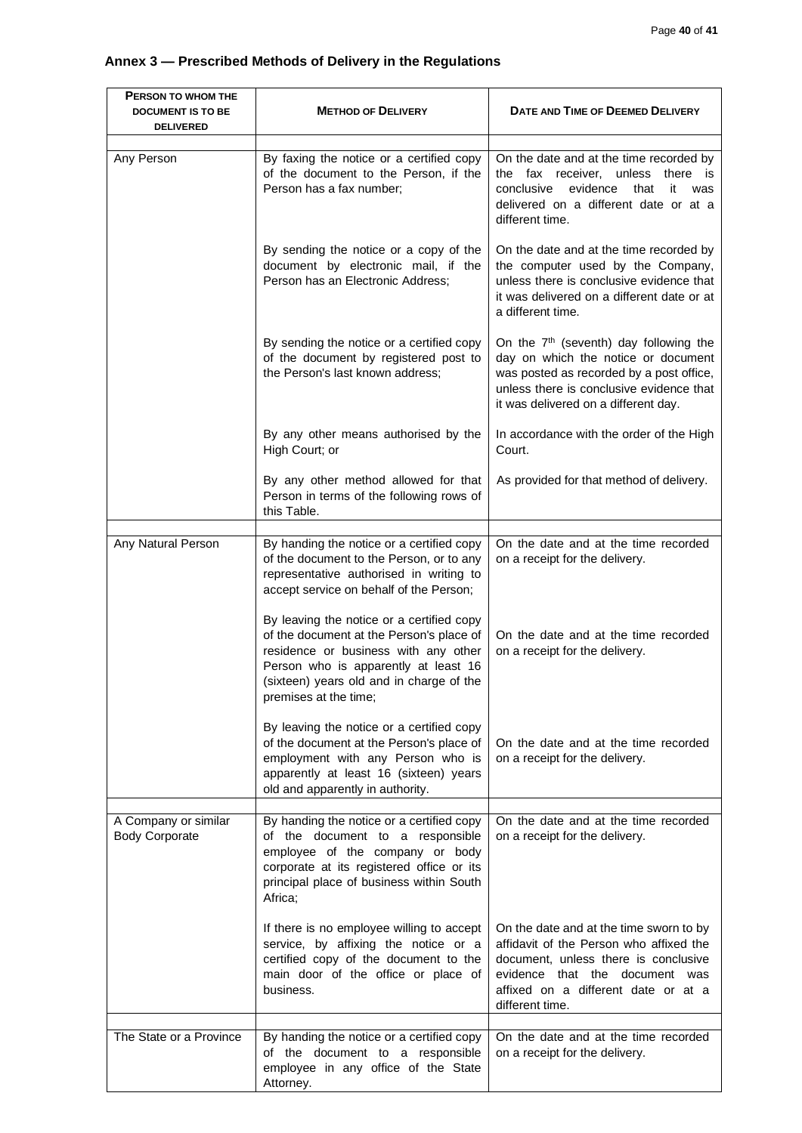# <span id="page-39-0"></span>**Annex 3 — Prescribed Methods of Delivery in the Regulations**

| PERSON TO WHOM THE<br><b>DOCUMENT IS TO BE</b><br><b>DELIVERED</b> | <b>METHOD OF DELIVERY</b>                                                                                                                                                                                                                  | DATE AND TIME OF DEEMED DELIVERY                                                                                                                                                                                          |
|--------------------------------------------------------------------|--------------------------------------------------------------------------------------------------------------------------------------------------------------------------------------------------------------------------------------------|---------------------------------------------------------------------------------------------------------------------------------------------------------------------------------------------------------------------------|
| Any Person                                                         | By faxing the notice or a certified copy<br>of the document to the Person, if the<br>Person has a fax number;                                                                                                                              | On the date and at the time recorded by<br>the fax receiver, unless<br>there is<br>evidence<br>conclusive<br>that<br>it<br>was<br>delivered on a different date or at a<br>different time.                                |
|                                                                    | By sending the notice or a copy of the<br>document by electronic mail, if the<br>Person has an Electronic Address;                                                                                                                         | On the date and at the time recorded by<br>the computer used by the Company,<br>unless there is conclusive evidence that<br>it was delivered on a different date or at<br>a different time.                               |
|                                                                    | By sending the notice or a certified copy<br>of the document by registered post to<br>the Person's last known address;                                                                                                                     | On the 7 <sup>th</sup> (seventh) day following the<br>day on which the notice or document<br>was posted as recorded by a post office,<br>unless there is conclusive evidence that<br>it was delivered on a different day. |
|                                                                    | By any other means authorised by the<br>High Court; or                                                                                                                                                                                     | In accordance with the order of the High<br>Court.                                                                                                                                                                        |
|                                                                    | By any other method allowed for that<br>Person in terms of the following rows of<br>this Table.                                                                                                                                            | As provided for that method of delivery.                                                                                                                                                                                  |
|                                                                    |                                                                                                                                                                                                                                            |                                                                                                                                                                                                                           |
| Any Natural Person                                                 | By handing the notice or a certified copy<br>of the document to the Person, or to any<br>representative authorised in writing to<br>accept service on behalf of the Person;                                                                | On the date and at the time recorded<br>on a receipt for the delivery.                                                                                                                                                    |
|                                                                    | By leaving the notice or a certified copy<br>of the document at the Person's place of<br>residence or business with any other<br>Person who is apparently at least 16<br>(sixteen) years old and in charge of the<br>premises at the time; | On the date and at the time recorded<br>on a receipt for the delivery.                                                                                                                                                    |
|                                                                    | By leaving the notice or a certified copy<br>of the document at the Person's place of<br>employment with any Person who is<br>apparently at least 16 (sixteen) years<br>old and apparently in authority.                                   | On the date and at the time recorded<br>on a receipt for the delivery.                                                                                                                                                    |
| A Company or similar<br><b>Body Corporate</b>                      | By handing the notice or a certified copy<br>of the document to a responsible<br>employee of the company or body<br>corporate at its registered office or its<br>principal place of business within South<br>Africa;                       | On the date and at the time recorded<br>on a receipt for the delivery.                                                                                                                                                    |
|                                                                    | If there is no employee willing to accept<br>service, by affixing the notice or a<br>certified copy of the document to the<br>main door of the office or place of<br>business.                                                             | On the date and at the time sworn to by<br>affidavit of the Person who affixed the<br>document, unless there is conclusive<br>evidence that the document was<br>affixed on a different date or at a<br>different time.    |
| The State or a Province                                            | By handing the notice or a certified copy<br>of the document to a responsible<br>employee in any office of the State<br>Attorney.                                                                                                          | On the date and at the time recorded<br>on a receipt for the delivery.                                                                                                                                                    |